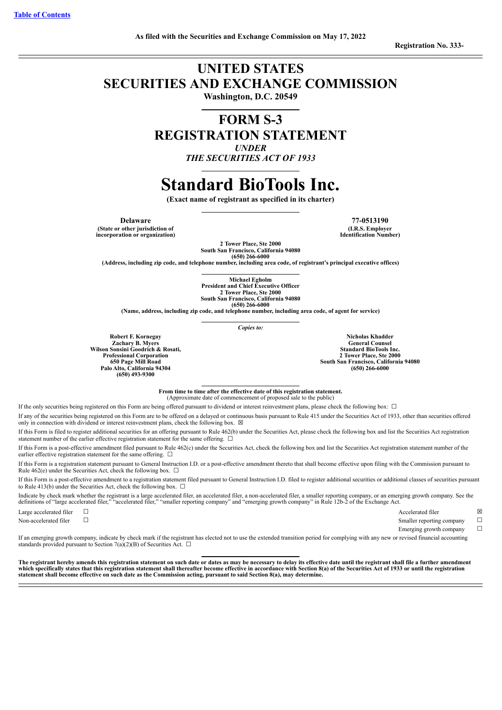**Registration No. 333-**

## **UNITED STATES SECURITIES AND EXCHANGE COMMISSION**

**Washington, D.C. 20549**

### **FORM S-3 REGISTRATION STATEMENT** *UNDER*

*THE SECURITIES ACT OF 1933*

# **Standard BioTools Inc.**

**(Exact name of registrant as specified in its charter)**

**(State or other jurisdiction of incorporation or organization)**

**2 Tower Place, Ste 2000 South San Francisco, California 94080**

**(650) 266-6000 (Address, including zip code, and telephone number, including area code, of registrant's principal executive offices)**

> **Michael Egholm President and Chief Executive Officer 2 Tower Place, Ste 2000 South San Francisco, California 94080 (650) 266-6000**

**(Name, address, including zip code, and telephone number, including area code, of agent for service)**

*Copies to:*

**Robert F. Kornegay Zachary B. Myers Wilson Sonsini Goodrich & Rosati, Professional Corporation 650 Page Mill Road Palo Alto, California 94304 (650) 493-9300**

**Nicholas Khadder General Counsel Standard BioTools Inc. 2 Tower Place, Ste 2000 South San Francisco, California 94080 (650) 266-6000**

**From time to time after the effective date of this registration statement.** (Approximate date of commencement of proposed sale to the public)

If the only securities being registered on this Form are being offered pursuant to dividend or interest reinvestment plans, please check the following box: ☐

If any of the securities being registered on this Form are to be offered on a delayed or continuous basis pursuant to Rule 415 under the Securities Act of 1933, other than securities offered only in connection with dividend or interest reinvestment plans, check the following box.  $\boxtimes$ 

If this Form is filed to register additional securities for an offering pursuant to Rule 462(b) under the Securities Act, please check the following box and list the Securities Act registration statement number of the earlier effective registration statement for the same offering.  $\Box$ 

If this Form is a post-effective amendment filed pursuant to Rule 462(c) under the Securities Act, check the following box and list the Securities Act registration statement number of the earlier effective registration statement for the same offering.  $\Box$ 

If this Form is a registration statement pursuant to General Instruction I.D. or a post-effective amendment thereto that shall become effective upon filing with the Commission pursuant to Rule 462(e) under the Securities Act, check the following box.  $\Box$ 

If this Form is a post-effective amendment to a registration statement filed pursuant to General Instruction I.D. filed to register additional securities or additional classes of securities pursuant to Rule 413(b) under the Securities Act, check the following box.  $\Box$ 

Indicate by check mark whether the registrant is a large accelerated filer, an accelerated filer, a non-accelerated filer, a smaller reporting company, or an emerging growth company. See the definitions of "large accelerated filer," "accelerated filer," "smaller reporting company" and "emerging growth company" in Rule 12b-2 of the Exchange Act.

Large accelerated filer  $□$ 

Non-accelerated filer <del>□</del> smaller reporting company □

Emerging growth company  $\Box$ 

If an emerging growth company, indicate by check mark if the registrant has elected not to use the extended transition period for complying with any new or revised financial accounting standards provided pursuant to Section 7(a)(2)(B) of Securities Act.  $\Box$ 

The registrant hereby amends this registration statement on such date or dates as may be necessary to delay its effective date until the registrant shall file a further amendment<br>which specifically states that this registr statement shall become effective on such date as the Commission acting, pursuant to said Section 8(a), may determine.

**Delaware 77-0513190 (I.R.S. Employer Identification Number)**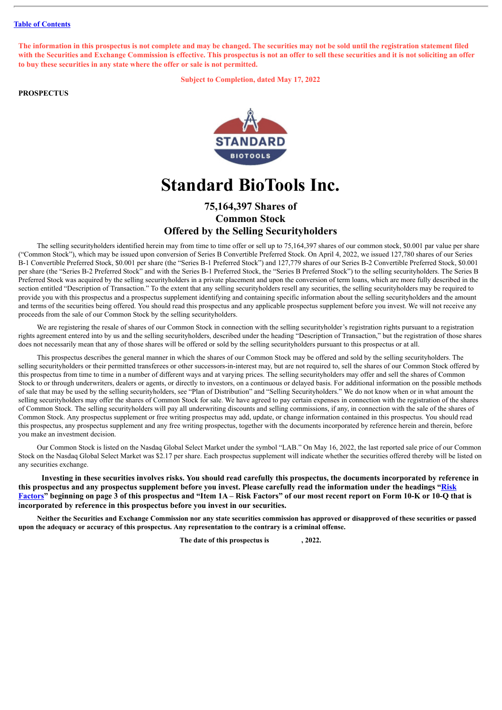The information in this prospectus is not complete and may be changed. The securities may not be sold until the registration statement filed with the Securities and Exchange Commission is effective. This prospectus is not an offer to sell these securities and it is not soliciting an offer **to buy these securities in any state where the offer or sale is not permitted.**

**Subject to Completion, dated May 17, 2022**

#### **PROSPECTUS**



# **Standard BioTools Inc.**

### **75,164,397 Shares of Common Stock Offered by the Selling Securityholders**

The selling securityholders identified herein may from time to time offer or sell up to 75,164,397 shares of our common stock, \$0.001 par value per share ("Common Stock"), which may be issued upon conversion of Series B Convertible Preferred Stock. On April 4, 2022, we issued 127,780 shares of our Series B-1 Convertible Preferred Stock, \$0.001 per share (the "Series B-1 Preferred Stock") and 127,779 shares of our Series B-2 Convertible Preferred Stock, \$0.001 per share (the "Series B-2 Preferred Stock" and with the Series B-1 Preferred Stock, the "Series B Preferred Stock") to the selling securityholders. The Series B Preferred Stock was acquired by the selling securityholders in a private placement and upon the conversion of term loans, which are more fully described in the section entitled "Description of Transaction." To the extent that any selling securityholders resell any securities, the selling securityholders may be required to provide you with this prospectus and a prospectus supplement identifying and containing specific information about the selling securityholders and the amount and terms of the securities being offered. You should read this prospectus and any applicable prospectus supplement before you invest. We will not receive any proceeds from the sale of our Common Stock by the selling securityholders.

We are registering the resale of shares of our Common Stock in connection with the selling securityholder's registration rights pursuant to a registration rights agreement entered into by us and the selling securityholders, described under the heading "Description of Transaction," but the registration of those shares does not necessarily mean that any of those shares will be offered or sold by the selling securityholders pursuant to this prospectus or at all.

This prospectus describes the general manner in which the shares of our Common Stock may be offered and sold by the selling securityholders. The selling securityholders or their permitted transferees or other successors-in-interest may, but are not required to, sell the shares of our Common Stock offered by this prospectus from time to time in a number of different ways and at varying prices. The selling securityholders may offer and sell the shares of Common Stock to or through underwriters, dealers or agents, or directly to investors, on a continuous or delayed basis. For additional information on the possible methods of sale that may be used by the selling securityholders, see "Plan of Distribution" and "Selling Securityholders." We do not know when or in what amount the selling securityholders may offer the shares of Common Stock for sale. We have agreed to pay certain expenses in connection with the registration of the shares of Common Stock. The selling securityholders will pay all underwriting discounts and selling commissions, if any, in connection with the sale of the shares of Common Stock. Any prospectus supplement or free writing prospectus may add, update, or change information contained in this prospectus. You should read this prospectus, any prospectus supplement and any free writing prospectus, together with the documents incorporated by reference herein and therein, before you make an investment decision.

Our Common Stock is listed on the Nasdaq Global Select Market under the symbol "LAB." On May 16, 2022, the last reported sale price of our Common Stock on the Nasdaq Global Select Market was \$2.17 per share. Each prospectus supplement will indicate whether the securities offered thereby will be listed on any securities exchange.

**Investing in these securities involves risks. You should read carefully this prospectus, the documents incorporated by reference in this [prospectus and any prospectus supplement before you invest. Please carefully read the information under the headings "Risk](#page-5-0) Factors" beginning on page 3 of this prospectus and "Item 1A – Risk Factors" of our most recent report on Form 10-K or 10-Q that is incorporated by reference in this prospectus before you invest in our securities.**

Neither the Securities and Exchange Commission nor any state securities commission has approved or disapproved of these securities or passed upon the adequacy or accuracy of this prospectus. Any representation to the contrary is a criminal offense.

**The date of this prospectus is , 2022.**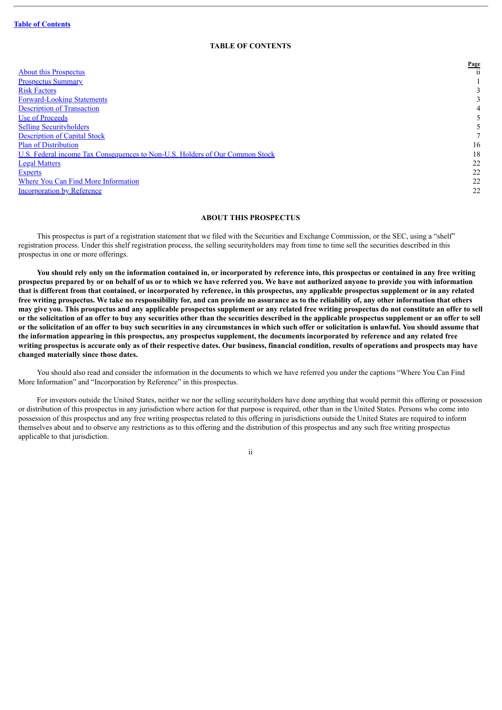#### **TABLE OF CONTENTS**

**Page**

<span id="page-2-0"></span>

|                                                                              | Page         |
|------------------------------------------------------------------------------|--------------|
| <b>About this Prospectus</b>                                                 | 11           |
| <b>Prospectus Summary</b>                                                    |              |
| <b>Risk Factors</b>                                                          | 3            |
| <b>Forward-Looking Statements</b>                                            | $\mathbf{3}$ |
| <b>Description of Transaction</b>                                            |              |
| Use of Proceeds                                                              |              |
| <b>Selling Securityholders</b>                                               |              |
| <b>Description of Capital Stock</b>                                          |              |
| <b>Plan of Distribution</b>                                                  | 16           |
| U.S. Federal income Tax Consequences to Non-U.S. Holders of Our Common Stock | 18           |
| <b>Legal Matters</b>                                                         | 22           |
| <b>Experts</b>                                                               | 22           |
| Where You Can Find More Information                                          | 22           |
| <b>Incorporation by Reference</b>                                            | 22           |
|                                                                              |              |

#### **ABOUT THIS PROSPECTUS**

<span id="page-2-1"></span>This prospectus is part of a registration statement that we filed with the Securities and Exchange Commission, or the SEC, using a "shelf" registration process. Under this shelf registration process, the selling securityholders may from time to time sell the securities described in this prospectus in one or more offerings.

You should rely only on the information contained in, or incorporated by reference into, this prospectus or contained in any free writing prospectus prepared by or on behalf of us or to which we have referred you. We have not authorized anyone to provide you with information that is different from that contained, or incorporated by reference, in this prospectus, any applicable prospectus supplement or in any related free writing prospectus. We take no responsibility for, and can provide no assurance as to the reliability of, any other information that others may give you. This prospectus and any applicable prospectus supplement or any related free writing prospectus do not constitute an offer to sell or the solicitation of an offer to buy any securities other than the securities described in the applicable prospectus supplement or an offer to sell or the solicitation of an offer to buy such securities in any circumstances in which such offer or solicitation is unlawful. You should assume that the information appearing in this prospectus, any prospectus supplement, the documents incorporated by reference and any related free writing prospectus is accurate only as of their respective dates. Our business, financial condition, results of operations and prospects may have **changed materially since those dates.**

You should also read and consider the information in the documents to which we have referred you under the captions "Where You Can Find More Information" and "Incorporation by Reference" in this prospectus.

For investors outside the United States, neither we nor the selling securityholders have done anything that would permit this offering or possession or distribution of this prospectus in any jurisdiction where action for that purpose is required, other than in the United States. Persons who come into possession of this prospectus and any free writing prospectus related to this offering in jurisdictions outside the United States are required to inform themselves about and to observe any restrictions as to this offering and the distribution of this prospectus and any such free writing prospectus applicable to that jurisdiction.

ii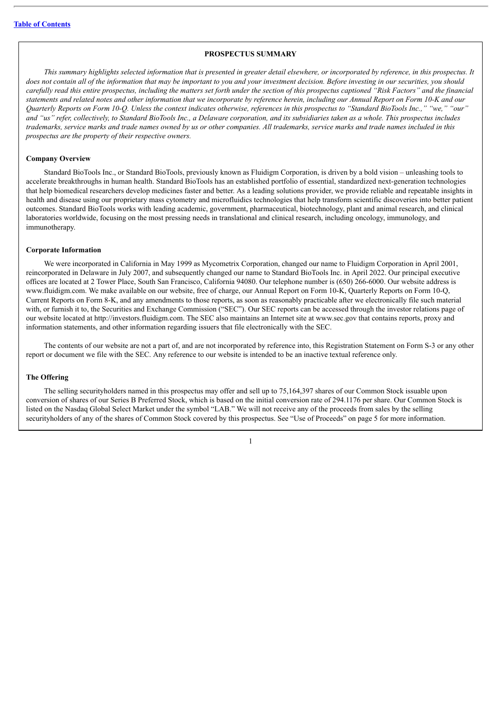#### **PROSPECTUS SUMMARY**

<span id="page-3-0"></span>This summary highlights selected information that is presented in greater detail elsewhere, or incorporated by reference, in this prospectus. It does not contain all of the information that may be important to you and your investment decision. Before investing in our securities, you should carefully read this entire prospectus, including the matters set forth under the section of this prospectus captioned "Risk Factors" and the financial statements and related notes and other information that we incorporate by reference herein, including our Annual Report on Form 10-K and our Quarterly Reports on Form 10-Q. Unless the context indicates otherwise, references in this prospectus to "Standard BioTools Inc.," "we," "our" and "us" refer. collectively, to Standard BioTools Inc., a Delaware corporation, and its subsidiaries taken as a whole. This prospectus includes trademarks, service marks and trade names owned by us or other companies. All trademarks, service marks and trade names included in this *prospectus are the property of their respective owners.*

#### **Company Overview**

Standard BioTools Inc., or Standard BioTools, previously known as Fluidigm Corporation, is driven by a bold vision – unleashing tools to accelerate breakthroughs in human health. Standard BioTools has an established portfolio of essential, standardized next-generation technologies that help biomedical researchers develop medicines faster and better. As a leading solutions provider, we provide reliable and repeatable insights in health and disease using our proprietary mass cytometry and microfluidics technologies that help transform scientific discoveries into better patient outcomes. Standard BioTools works with leading academic, government, pharmaceutical, biotechnology, plant and animal research, and clinical laboratories worldwide, focusing on the most pressing needs in translational and clinical research, including oncology, immunology, and immunotherapy.

#### **Corporate Information**

We were incorporated in California in May 1999 as Mycometrix Corporation, changed our name to Fluidigm Corporation in April 2001, reincorporated in Delaware in July 2007, and subsequently changed our name to Standard BioTools Inc. in April 2022. Our principal executive offices are located at 2 Tower Place, South San Francisco, California 94080. Our telephone number is (650) 266-6000. Our website address is www.fluidigm.com. We make available on our website, free of charge, our Annual Report on Form 10-K, Quarterly Reports on Form 10-Q, Current Reports on Form 8-K, and any amendments to those reports, as soon as reasonably practicable after we electronically file such material with, or furnish it to, the Securities and Exchange Commission ("SEC"). Our SEC reports can be accessed through the investor relations page of our website located at http://investors.fluidigm.com. The SEC also maintains an Internet site at www.sec.gov that contains reports, proxy and information statements, and other information regarding issuers that file electronically with the SEC.

The contents of our website are not a part of, and are not incorporated by reference into, this Registration Statement on Form S-3 or any other report or document we file with the SEC. Any reference to our website is intended to be an inactive textual reference only.

#### **The Offering**

The selling securityholders named in this prospectus may offer and sell up to 75,164,397 shares of our Common Stock issuable upon conversion of shares of our Series B Preferred Stock, which is based on the initial conversion rate of 294.1176 per share. Our Common Stock is listed on the Nasdaq Global Select Market under the symbol "LAB." We will not receive any of the proceeds from sales by the selling securityholders of any of the shares of Common Stock covered by this prospectus. See "Use of Proceeds" on page 5 for more information.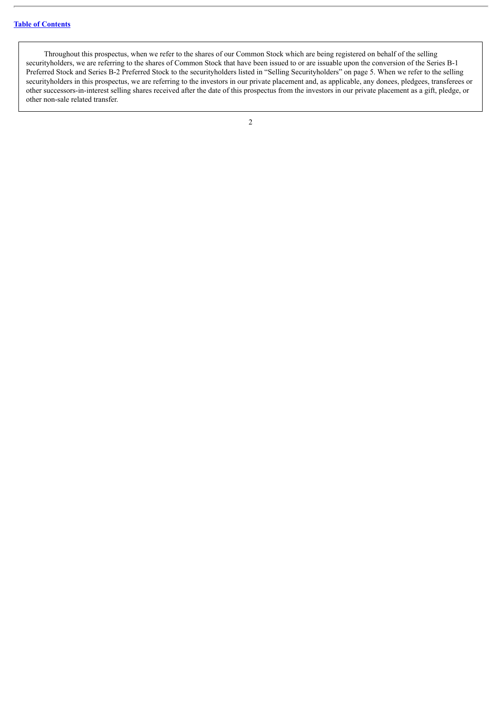Throughout this prospectus, when we refer to the shares of our Common Stock which are being registered on behalf of the selling securityholders, we are referring to the shares of Common Stock that have been issued to or are issuable upon the conversion of the Series B-1 Preferred Stock and Series B-2 Preferred Stock to the securityholders listed in "Selling Securityholders" on page 5. When we refer to the selling securityholders in this prospectus, we are referring to the investors in our private placement and, as applicable, any donees, pledgees, transferees or other successors-in-interest selling shares received after the date of this prospectus from the investors in our private placement as a gift, pledge, or other non-sale related transfer.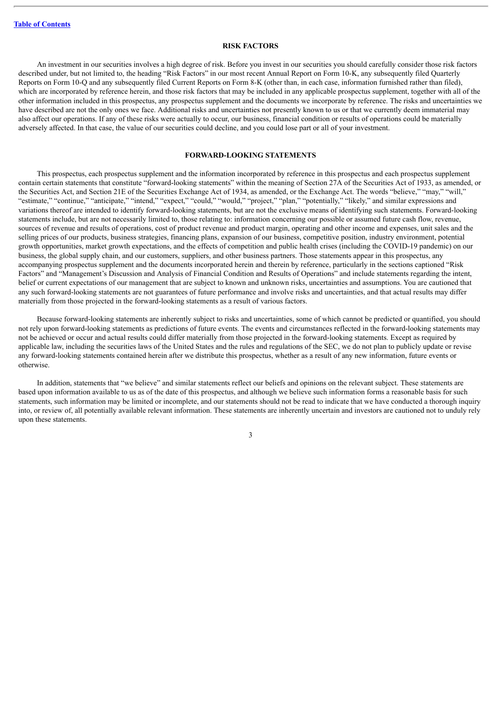#### **RISK FACTORS**

<span id="page-5-0"></span>An investment in our securities involves a high degree of risk. Before you invest in our securities you should carefully consider those risk factors described under, but not limited to, the heading "Risk Factors" in our most recent Annual Report on Form 10-K, any subsequently filed Quarterly Reports on Form 10-Q and any subsequently filed Current Reports on Form 8-K (other than, in each case, information furnished rather than filed), which are incorporated by reference herein, and those risk factors that may be included in any applicable prospectus supplement, together with all of the other information included in this prospectus, any prospectus supplement and the documents we incorporate by reference. The risks and uncertainties we have described are not the only ones we face. Additional risks and uncertainties not presently known to us or that we currently deem immaterial may also affect our operations. If any of these risks were actually to occur, our business, financial condition or results of operations could be materially adversely affected. In that case, the value of our securities could decline, and you could lose part or all of your investment.

#### **FORWARD-LOOKING STATEMENTS**

<span id="page-5-1"></span>This prospectus, each prospectus supplement and the information incorporated by reference in this prospectus and each prospectus supplement contain certain statements that constitute "forward-looking statements" within the meaning of Section 27A of the Securities Act of 1933, as amended, or the Securities Act, and Section 21E of the Securities Exchange Act of 1934, as amended, or the Exchange Act. The words "believe," "may," "will," "estimate," "continue," "anticipate," "intend," "expect," "could," "would," "project," "plan," "potentially," "likely," and similar expressions and variations thereof are intended to identify forward-looking statements, but are not the exclusive means of identifying such statements. Forward-looking statements include, but are not necessarily limited to, those relating to: information concerning our possible or assumed future cash flow, revenue, sources of revenue and results of operations, cost of product revenue and product margin, operating and other income and expenses, unit sales and the selling prices of our products, business strategies, financing plans, expansion of our business, competitive position, industry environment, potential growth opportunities, market growth expectations, and the effects of competition and public health crises (including the COVID-19 pandemic) on our business, the global supply chain, and our customers, suppliers, and other business partners. Those statements appear in this prospectus, any accompanying prospectus supplement and the documents incorporated herein and therein by reference, particularly in the sections captioned "Risk Factors" and "Management's Discussion and Analysis of Financial Condition and Results of Operations" and include statements regarding the intent, belief or current expectations of our management that are subject to known and unknown risks, uncertainties and assumptions. You are cautioned that any such forward-looking statements are not guarantees of future performance and involve risks and uncertainties, and that actual results may differ materially from those projected in the forward-looking statements as a result of various factors.

Because forward-looking statements are inherently subject to risks and uncertainties, some of which cannot be predicted or quantified, you should not rely upon forward-looking statements as predictions of future events. The events and circumstances reflected in the forward-looking statements may not be achieved or occur and actual results could differ materially from those projected in the forward-looking statements. Except as required by applicable law, including the securities laws of the United States and the rules and regulations of the SEC, we do not plan to publicly update or revise any forward-looking statements contained herein after we distribute this prospectus, whether as a result of any new information, future events or otherwise.

In addition, statements that "we believe" and similar statements reflect our beliefs and opinions on the relevant subject. These statements are based upon information available to us as of the date of this prospectus, and although we believe such information forms a reasonable basis for such statements, such information may be limited or incomplete, and our statements should not be read to indicate that we have conducted a thorough inquiry into, or review of, all potentially available relevant information. These statements are inherently uncertain and investors are cautioned not to unduly rely upon these statements.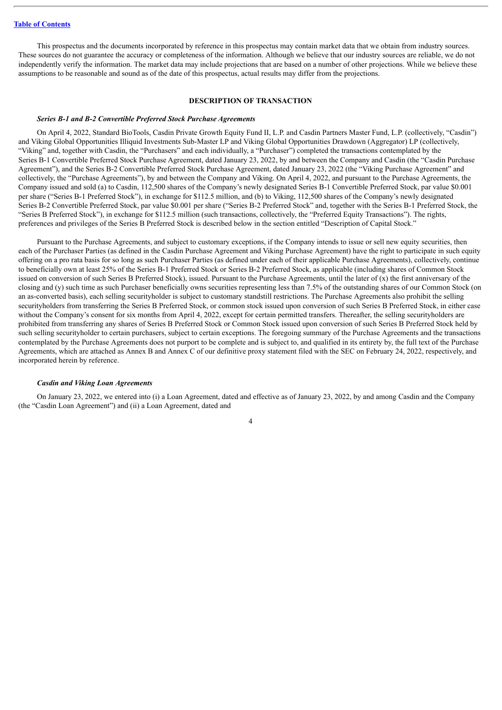This prospectus and the documents incorporated by reference in this prospectus may contain market data that we obtain from industry sources. These sources do not guarantee the accuracy or completeness of the information. Although we believe that our industry sources are reliable, we do not independently verify the information. The market data may include projections that are based on a number of other projections. While we believe these assumptions to be reasonable and sound as of the date of this prospectus, actual results may differ from the projections.

#### **DESCRIPTION OF TRANSACTION**

#### <span id="page-6-0"></span>*Series B-1 and B-2 Convertible Preferred Stock Purchase Agreements*

On April 4, 2022, Standard BioTools, Casdin Private Growth Equity Fund II, L.P. and Casdin Partners Master Fund, L.P. (collectively, "Casdin") and Viking Global Opportunities Illiquid Investments Sub-Master LP and Viking Global Opportunities Drawdown (Aggregator) LP (collectively, "Viking" and, together with Casdin, the "Purchasers" and each individually, a "Purchaser") completed the transactions contemplated by the Series B-1 Convertible Preferred Stock Purchase Agreement, dated January 23, 2022, by and between the Company and Casdin (the "Casdin Purchase Agreement"), and the Series B-2 Convertible Preferred Stock Purchase Agreement, dated January 23, 2022 (the "Viking Purchase Agreement" and collectively, the "Purchase Agreements"), by and between the Company and Viking. On April 4, 2022, and pursuant to the Purchase Agreements, the Company issued and sold (a) to Casdin, 112,500 shares of the Company's newly designated Series B-1 Convertible Preferred Stock, par value \$0.001 per share ("Series B-1 Preferred Stock"), in exchange for \$112.5 million, and (b) to Viking, 112,500 shares of the Company's newly designated Series B-2 Convertible Preferred Stock, par value \$0.001 per share ("Series B-2 Preferred Stock" and, together with the Series B-1 Preferred Stock, the "Series B Preferred Stock"), in exchange for \$112.5 million (such transactions, collectively, the "Preferred Equity Transactions"). The rights, preferences and privileges of the Series B Preferred Stock is described below in the section entitled "Description of Capital Stock."

Pursuant to the Purchase Agreements, and subject to customary exceptions, if the Company intends to issue or sell new equity securities, then each of the Purchaser Parties (as defined in the Casdin Purchase Agreement and Viking Purchase Agreement) have the right to participate in such equity offering on a pro rata basis for so long as such Purchaser Parties (as defined under each of their applicable Purchase Agreements), collectively, continue to beneficially own at least 25% of the Series B-1 Preferred Stock or Series B-2 Preferred Stock, as applicable (including shares of Common Stock issued on conversion of such Series B Preferred Stock), issued. Pursuant to the Purchase Agreements, until the later of (x) the first anniversary of the closing and (y) such time as such Purchaser beneficially owns securities representing less than 7.5% of the outstanding shares of our Common Stock (on an as-converted basis), each selling securityholder is subject to customary standstill restrictions. The Purchase Agreements also prohibit the selling securityholders from transferring the Series B Preferred Stock, or common stock issued upon conversion of such Series B Preferred Stock, in either case without the Company's consent for six months from April 4, 2022, except for certain permitted transfers. Thereafter, the selling securityholders are prohibited from transferring any shares of Series B Preferred Stock or Common Stock issued upon conversion of such Series B Preferred Stock held by such selling securityholder to certain purchasers, subject to certain exceptions. The foregoing summary of the Purchase Agreements and the transactions contemplated by the Purchase Agreements does not purport to be complete and is subject to, and qualified in its entirety by, the full text of the Purchase Agreements, which are attached as Annex B and Annex C of our definitive proxy statement filed with the SEC on February 24, 2022, respectively, and incorporated herein by reference.

#### *Casdin and Viking Loan Agreements*

On January 23, 2022, we entered into (i) a Loan Agreement, dated and effective as of January 23, 2022, by and among Casdin and the Company (the "Casdin Loan Agreement") and (ii) a Loan Agreement, dated and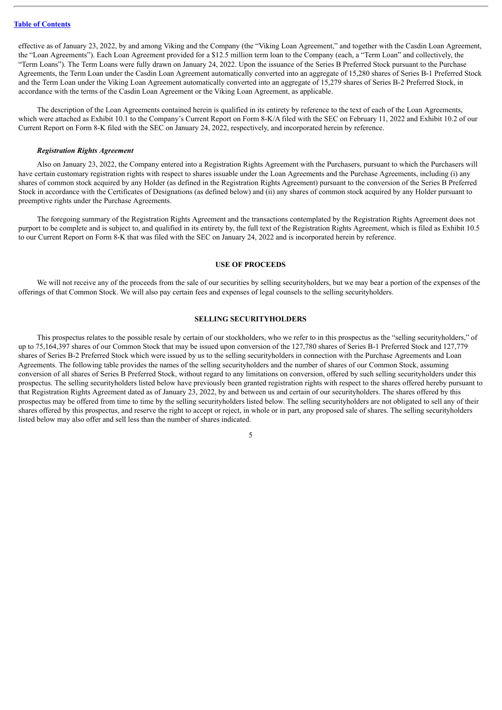effective as of January 23, 2022, by and among Viking and the Company (the "Viking Loan Agreement," and together with the Casdin Loan Agreement, the "Loan Agreements"). Each Loan Agreement provided for a \$12.5 million term loan to the Company (each, a "Term Loan" and collectively, the "Term Loans"). The Term Loans were fully drawn on January 24, 2022. Upon the issuance of the Series B Preferred Stock pursuant to the Purchase Agreements, the Term Loan under the Casdin Loan Agreement automatically converted into an aggregate of 15,280 shares of Series B-1 Preferred Stock and the Term Loan under the Viking Loan Agreement automatically converted into an aggregate of 15,279 shares of Series B-2 Preferred Stock, in accordance with the terms of the Casdin Loan Agreement or the Viking Loan Agreement, as applicable.

The description of the Loan Agreements contained herein is qualified in its entirety by reference to the text of each of the Loan Agreements, which were attached as Exhibit 10.1 to the Company's Current Report on Form 8-K/A filed with the SEC on February 11, 2022 and Exhibit 10.2 of our Current Report on Form 8-K filed with the SEC on January 24, 2022, respectively, and incorporated herein by reference.

#### *Registration Rights Agreement*

Also on January 23, 2022, the Company entered into a Registration Rights Agreement with the Purchasers, pursuant to which the Purchasers will have certain customary registration rights with respect to shares issuable under the Loan Agreements and the Purchase Agreements, including (i) any shares of common stock acquired by any Holder (as defined in the Registration Rights Agreement) pursuant to the conversion of the Series B Preferred Stock in accordance with the Certificates of Designations (as defined below) and (ii) any shares of common stock acquired by any Holder pursuant to preemptive rights under the Purchase Agreements.

The foregoing summary of the Registration Rights Agreement and the transactions contemplated by the Registration Rights Agreement does not purport to be complete and is subject to, and qualified in its entirety by, the full text of the Registration Rights Agreement, which is filed as Exhibit 10.5 to our Current Report on Form 8-K that was filed with the SEC on January 24, 2022 and is incorporated herein by reference.

#### **USE OF PROCEEDS**

<span id="page-7-0"></span>We will not receive any of the proceeds from the sale of our securities by selling securityholders, but we may bear a portion of the expenses of the offerings of that Common Stock. We will also pay certain fees and expenses of legal counsels to the selling securityholders.

#### **SELLING SECURITYHOLDERS**

<span id="page-7-1"></span>This prospectus relates to the possible resale by certain of our stockholders, who we refer to in this prospectus as the "selling securityholders," of up to 75,164,397 shares of our Common Stock that may be issued upon conversion of the 127,780 shares of Series B-1 Preferred Stock and 127,779 shares of Series B-2 Preferred Stock which were issued by us to the selling securityholders in connection with the Purchase Agreements and Loan Agreements. The following table provides the names of the selling securityholders and the number of shares of our Common Stock, assuming conversion of all shares of Series B Preferred Stock, without regard to any limitations on conversion, offered by such selling securityholders under this prospectus. The selling securityholders listed below have previously been granted registration rights with respect to the shares offered hereby pursuant to that Registration Rights Agreement dated as of January 23, 2022, by and between us and certain of our securityholders. The shares offered by this prospectus may be offered from time to time by the selling securityholders listed below. The selling securityholders are not obligated to sell any of their shares offered by this prospectus, and reserve the right to accept or reject, in whole or in part, any proposed sale of shares. The selling securityholders listed below may also offer and sell less than the number of shares indicated.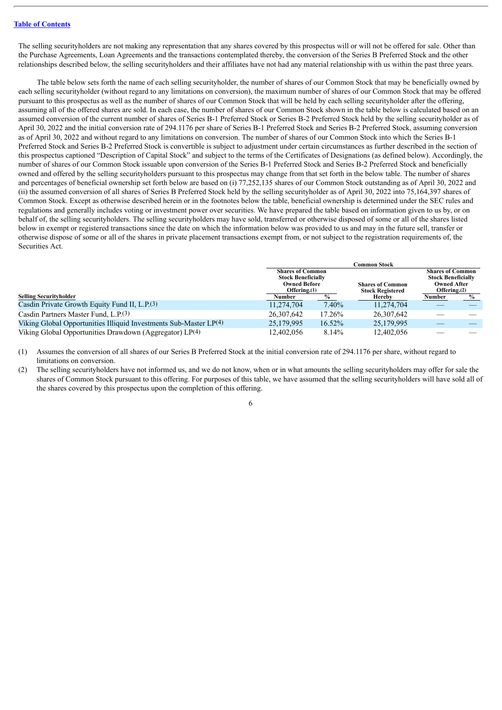The selling securityholders are not making any representation that any shares covered by this prospectus will or will not be offered for sale. Other than the Purchase Agreements, Loan Agreements and the transactions contemplated thereby, the conversion of the Series B Preferred Stock and the other relationships described below, the selling securityholders and their affiliates have not had any material relationship with us within the past three years.

The table below sets forth the name of each selling securityholder, the number of shares of our Common Stock that may be beneficially owned by each selling securityholder (without regard to any limitations on conversion), the maximum number of shares of our Common Stock that may be offered pursuant to this prospectus as well as the number of shares of our Common Stock that will be held by each selling securityholder after the offering, assuming all of the offered shares are sold. In each case, the number of shares of our Common Stock shown in the table below is calculated based on an assumed conversion of the current number of shares of Series B-1 Preferred Stock or Series B-2 Preferred Stock held by the selling securityholder as of April 30, 2022 and the initial conversion rate of 294.1176 per share of Series B-1 Preferred Stock and Series B-2 Preferred Stock, assuming conversion as of April 30, 2022 and without regard to any limitations on conversion. The number of shares of our Common Stock into which the Series B-1 Preferred Stock and Series B-2 Preferred Stock is convertible is subject to adjustment under certain circumstances as further described in the section of this prospectus captioned "Description of Capital Stock" and subject to the terms of the Certificates of Designations (as defined below). Accordingly, the number of shares of our Common Stock issuable upon conversion of the Series B-1 Preferred Stock and Series B-2 Preferred Stock and beneficially owned and offered by the selling securityholders pursuant to this prospectus may change from that set forth in the below table. The number of shares and percentages of beneficial ownership set forth below are based on (i) 77,252,135 shares of our Common Stock outstanding as of April 30, 2022 and (ii) the assumed conversion of all shares of Series B Preferred Stock held by the selling securityholder as of April 30, 2022 into 75,164,397 shares of Common Stock. Except as otherwise described herein or in the footnotes below the table, beneficial ownership is determined under the SEC rules and regulations and generally includes voting or investment power over securities. We have prepared the table based on information given to us by, or on behalf of, the selling securityholders. The selling securityholders may have sold, transferred or otherwise disposed of some or all of the shares listed below in exempt or registered transactions since the date on which the information below was provided to us and may in the future sell, transfer or otherwise dispose of some or all of the shares in private placement transactions exempt from, or not subject to the registration requirements of, the Securities Act.

|                                                                   | <b>Common Stock</b>                            |               |                         |                           |   |  |
|-------------------------------------------------------------------|------------------------------------------------|---------------|-------------------------|---------------------------|---|--|
|                                                                   | <b>Shares of Common</b>                        |               |                         | <b>Shares of Common</b>   |   |  |
|                                                                   | <b>Stock Beneficially</b>                      |               |                         | <b>Stock Beneficially</b> |   |  |
|                                                                   | <b>Owned Before</b><br><b>Shares of Common</b> |               |                         | <b>Owned After</b>        |   |  |
|                                                                   | Offering.(1)                                   |               | <b>Stock Registered</b> | Offering.(2)              |   |  |
| <b>Selling Securityholder</b>                                     | Number                                         | $\frac{0}{0}$ | Hereby                  | Number                    | % |  |
| Casdin Private Growth Equity Fund II, L.P. (3)                    | 11.274.704                                     | $7.40\%$      | 11,274,704              |                           |   |  |
| Casdin Partners Master Fund, L.P. <sup>(3)</sup>                  | 26,307,642                                     | 17.26%        | 26,307,642              |                           |   |  |
| Viking Global Opportunities Illiquid Investments Sub-Master LP(4) | 25,179,995                                     | $16.52\%$     | 25,179,995              |                           |   |  |
| Viking Global Opportunities Drawdown (Aggregator) LP(4)           | 12,402,056                                     | 8.14%         | 12,402,056              |                           |   |  |

(1) Assumes the conversion of all shares of our Series B Preferred Stock at the initial conversion rate of 294.1176 per share, without regard to limitations on conversion.

(2) The selling securityholders have not informed us, and we do not know, when or in what amounts the selling securityholders may offer for sale the shares of Common Stock pursuant to this offering. For purposes of this table, we have assumed that the selling securityholders will have sold all of the shares covered by this prospectus upon the completion of this offering.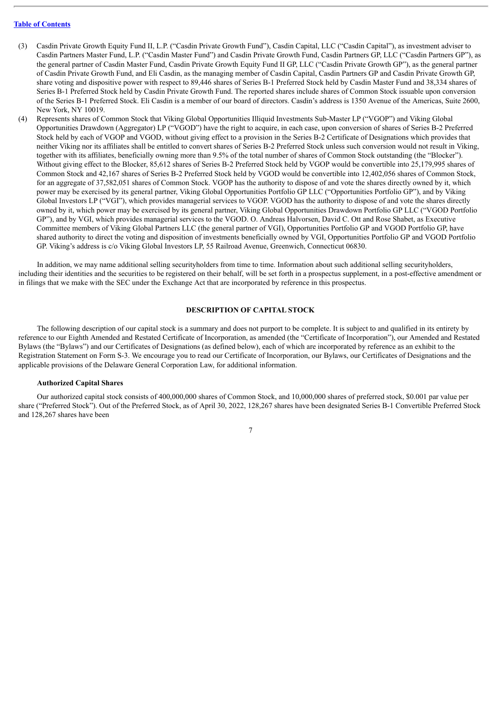- (3) Casdin Private Growth Equity Fund II, L.P. ("Casdin Private Growth Fund"), Casdin Capital, LLC ("Casdin Capital"), as investment adviser to Casdin Partners Master Fund, L.P. ("Casdin Master Fund") and Casdin Private Growth Fund, Casdin Partners GP, LLC ("Casdin Partners GP"), as the general partner of Casdin Master Fund, Casdin Private Growth Equity Fund II GP, LLC ("Casdin Private Growth GP"), as the general partner of Casdin Private Growth Fund, and Eli Casdin, as the managing member of Casdin Capital, Casdin Partners GP and Casdin Private Growth GP, share voting and dispositive power with respect to 89,446 shares of Series B-1 Preferred Stock held by Casdin Master Fund and 38,334 shares of Series B-1 Preferred Stock held by Casdin Private Growth Fund. The reported shares include shares of Common Stock issuable upon conversion of the Series B-1 Preferred Stock. Eli Casdin is a member of our board of directors. Casdin's address is 1350 Avenue of the Americas, Suite 2600, New York, NY 10019.
- (4) Represents shares of Common Stock that Viking Global Opportunities Illiquid Investments Sub-Master LP ("VGOP") and Viking Global Opportunities Drawdown (Aggregator) LP ("VGOD") have the right to acquire, in each case, upon conversion of shares of Series B-2 Preferred Stock held by each of VGOP and VGOD, without giving effect to a provision in the Series B-2 Certificate of Designations which provides that neither Viking nor its affiliates shall be entitled to convert shares of Series B-2 Preferred Stock unless such conversion would not result in Viking, together with its affiliates, beneficially owning more than 9.5% of the total number of shares of Common Stock outstanding (the "Blocker"). Without giving effect to the Blocker, 85,612 shares of Series B-2 Preferred Stock held by VGOP would be convertible into 25,179,995 shares of Common Stock and 42,167 shares of Series B-2 Preferred Stock held by VGOD would be convertible into 12,402,056 shares of Common Stock, for an aggregate of 37,582,051 shares of Common Stock. VGOP has the authority to dispose of and vote the shares directly owned by it, which power may be exercised by its general partner, Viking Global Opportunities Portfolio GP LLC ("Opportunities Portfolio GP"), and by Viking Global Investors LP ("VGI"), which provides managerial services to VGOP. VGOD has the authority to dispose of and vote the shares directly owned by it, which power may be exercised by its general partner, Viking Global Opportunities Drawdown Portfolio GP LLC ("VGOD Portfolio GP"), and by VGI, which provides managerial services to the VGOD. O. Andreas Halvorsen, David C. Ott and Rose Shabet, as Executive Committee members of Viking Global Partners LLC (the general partner of VGI), Opportunities Portfolio GP and VGOD Portfolio GP, have shared authority to direct the voting and disposition of investments beneficially owned by VGI, Opportunities Portfolio GP and VGOD Portfolio GP. Viking's address is c/o Viking Global Investors LP, 55 Railroad Avenue, Greenwich, Connecticut 06830.

In addition, we may name additional selling securityholders from time to time. Information about such additional selling securityholders, including their identities and the securities to be registered on their behalf, will be set forth in a prospectus supplement, in a post-effective amendment or in filings that we make with the SEC under the Exchange Act that are incorporated by reference in this prospectus.

#### **DESCRIPTION OF CAPITAL STOCK**

<span id="page-9-0"></span>The following description of our capital stock is a summary and does not purport to be complete. It is subject to and qualified in its entirety by reference to our Eighth Amended and Restated Certificate of Incorporation, as amended (the "Certificate of Incorporation"), our Amended and Restated Bylaws (the "Bylaws") and our Certificates of Designations (as defined below), each of which are incorporated by reference as an exhibit to the Registration Statement on Form S-3. We encourage you to read our Certificate of Incorporation, our Bylaws, our Certificates of Designations and the applicable provisions of the Delaware General Corporation Law, for additional information.

#### **Authorized Capital Shares**

Our authorized capital stock consists of 400,000,000 shares of Common Stock, and 10,000,000 shares of preferred stock, \$0.001 par value per share ("Preferred Stock"). Out of the Preferred Stock, as of April 30, 2022, 128,267 shares have been designated Series B-1 Convertible Preferred Stock and 128,267 shares have been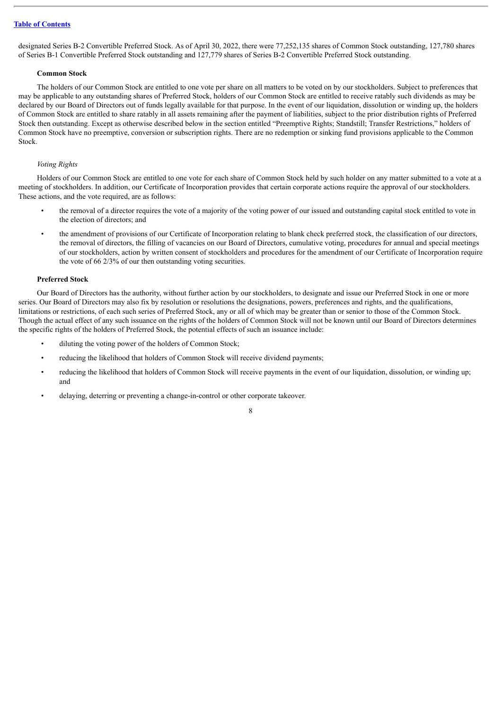designated Series B-2 Convertible Preferred Stock. As of April 30, 2022, there were 77,252,135 shares of Common Stock outstanding, 127,780 shares of Series B-1 Convertible Preferred Stock outstanding and 127,779 shares of Series B-2 Convertible Preferred Stock outstanding.

#### **Common Stock**

The holders of our Common Stock are entitled to one vote per share on all matters to be voted on by our stockholders. Subject to preferences that may be applicable to any outstanding shares of Preferred Stock, holders of our Common Stock are entitled to receive ratably such dividends as may be declared by our Board of Directors out of funds legally available for that purpose. In the event of our liquidation, dissolution or winding up, the holders of Common Stock are entitled to share ratably in all assets remaining after the payment of liabilities, subject to the prior distribution rights of Preferred Stock then outstanding. Except as otherwise described below in the section entitled "Preemptive Rights; Standstill; Transfer Restrictions," holders of Common Stock have no preemptive, conversion or subscription rights. There are no redemption or sinking fund provisions applicable to the Common Stock.

#### *Voting Rights*

Holders of our Common Stock are entitled to one vote for each share of Common Stock held by such holder on any matter submitted to a vote at a meeting of stockholders. In addition, our Certificate of Incorporation provides that certain corporate actions require the approval of our stockholders. These actions, and the vote required, are as follows:

- the removal of a director requires the vote of a majority of the voting power of our issued and outstanding capital stock entitled to vote in the election of directors; and
- the amendment of provisions of our Certificate of Incorporation relating to blank check preferred stock, the classification of our directors, the removal of directors, the filling of vacancies on our Board of Directors, cumulative voting, procedures for annual and special meetings of our stockholders, action by written consent of stockholders and procedures for the amendment of our Certificate of Incorporation require the vote of 66 2/3% of our then outstanding voting securities.

#### **Preferred Stock**

Our Board of Directors has the authority, without further action by our stockholders, to designate and issue our Preferred Stock in one or more series. Our Board of Directors may also fix by resolution or resolutions the designations, powers, preferences and rights, and the qualifications, limitations or restrictions, of each such series of Preferred Stock, any or all of which may be greater than or senior to those of the Common Stock. Though the actual effect of any such issuance on the rights of the holders of Common Stock will not be known until our Board of Directors determines the specific rights of the holders of Preferred Stock, the potential effects of such an issuance include:

- diluting the voting power of the holders of Common Stock;
- reducing the likelihood that holders of Common Stock will receive dividend payments;
- reducing the likelihood that holders of Common Stock will receive payments in the event of our liquidation, dissolution, or winding up; and
- delaying, deterring or preventing a change-in-control or other corporate takeover.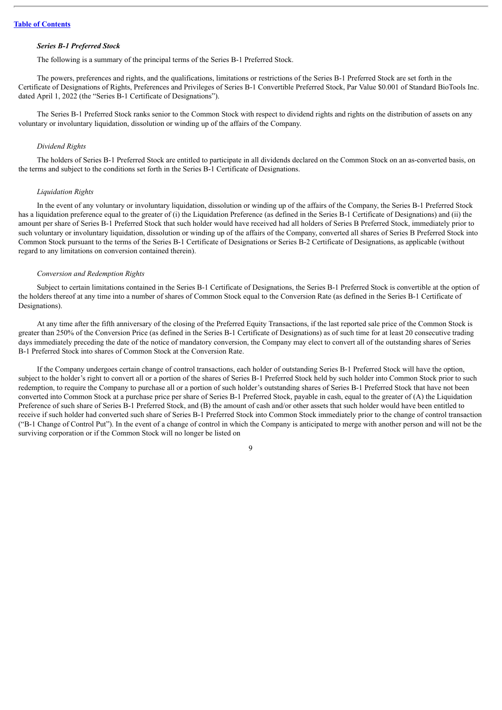#### *Series B-1 Preferred Stock*

The following is a summary of the principal terms of the Series B-1 Preferred Stock.

The powers, preferences and rights, and the qualifications, limitations or restrictions of the Series B-1 Preferred Stock are set forth in the Certificate of Designations of Rights, Preferences and Privileges of Series B-1 Convertible Preferred Stock, Par Value \$0.001 of Standard BioTools Inc. dated April 1, 2022 (the "Series B-1 Certificate of Designations").

The Series B-1 Preferred Stock ranks senior to the Common Stock with respect to dividend rights and rights on the distribution of assets on any voluntary or involuntary liquidation, dissolution or winding up of the affairs of the Company.

#### *Dividend Rights*

The holders of Series B-1 Preferred Stock are entitled to participate in all dividends declared on the Common Stock on an as-converted basis, on the terms and subject to the conditions set forth in the Series B-1 Certificate of Designations.

#### *Liquidation Rights*

In the event of any voluntary or involuntary liquidation, dissolution or winding up of the affairs of the Company, the Series B-1 Preferred Stock has a liquidation preference equal to the greater of (i) the Liquidation Preference (as defined in the Series B-1 Certificate of Designations) and (ii) the amount per share of Series B-1 Preferred Stock that such holder would have received had all holders of Series B Preferred Stock, immediately prior to such voluntary or involuntary liquidation, dissolution or winding up of the affairs of the Company, converted all shares of Series B Preferred Stock into Common Stock pursuant to the terms of the Series B-1 Certificate of Designations or Series B-2 Certificate of Designations, as applicable (without regard to any limitations on conversion contained therein).

#### *Conversion and Redemption Rights*

Subject to certain limitations contained in the Series B-1 Certificate of Designations, the Series B-1 Preferred Stock is convertible at the option of the holders thereof at any time into a number of shares of Common Stock equal to the Conversion Rate (as defined in the Series B-1 Certificate of Designations).

At any time after the fifth anniversary of the closing of the Preferred Equity Transactions, if the last reported sale price of the Common Stock is greater than 250% of the Conversion Price (as defined in the Series B-1 Certificate of Designations) as of such time for at least 20 consecutive trading days immediately preceding the date of the notice of mandatory conversion, the Company may elect to convert all of the outstanding shares of Series B-1 Preferred Stock into shares of Common Stock at the Conversion Rate.

If the Company undergoes certain change of control transactions, each holder of outstanding Series B-1 Preferred Stock will have the option, subject to the holder's right to convert all or a portion of the shares of Series B-1 Preferred Stock held by such holder into Common Stock prior to such redemption, to require the Company to purchase all or a portion of such holder's outstanding shares of Series B-1 Preferred Stock that have not been converted into Common Stock at a purchase price per share of Series B-1 Preferred Stock, payable in cash, equal to the greater of (A) the Liquidation Preference of such share of Series B-1 Preferred Stock, and (B) the amount of cash and/or other assets that such holder would have been entitled to receive if such holder had converted such share of Series B-1 Preferred Stock into Common Stock immediately prior to the change of control transaction ("B-1 Change of Control Put"). In the event of a change of control in which the Company is anticipated to merge with another person and will not be the surviving corporation or if the Common Stock will no longer be listed on

 $\alpha$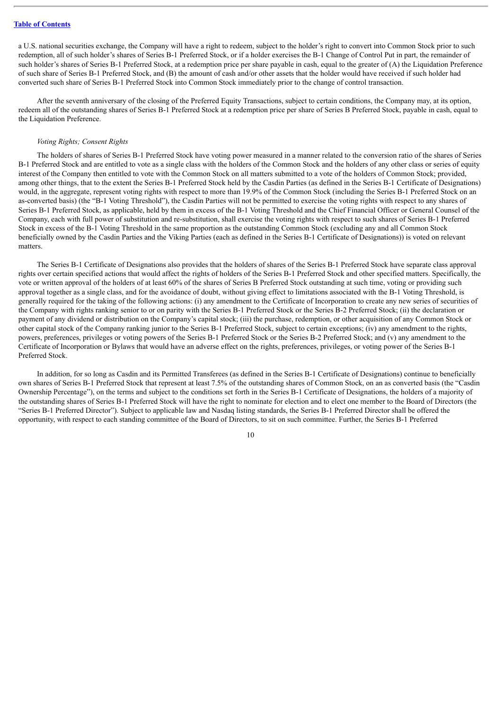a U.S. national securities exchange, the Company will have a right to redeem, subject to the holder's right to convert into Common Stock prior to such redemption, all of such holder's shares of Series B-1 Preferred Stock, or if a holder exercises the B-1 Change of Control Put in part, the remainder of such holder's shares of Series B-1 Preferred Stock, at a redemption price per share payable in cash, equal to the greater of (A) the Liquidation Preference of such share of Series B-1 Preferred Stock, and (B) the amount of cash and/or other assets that the holder would have received if such holder had converted such share of Series B-1 Preferred Stock into Common Stock immediately prior to the change of control transaction.

After the seventh anniversary of the closing of the Preferred Equity Transactions, subject to certain conditions, the Company may, at its option, redeem all of the outstanding shares of Series B-1 Preferred Stock at a redemption price per share of Series B Preferred Stock, payable in cash, equal to the Liquidation Preference.

#### *Voting Rights; Consent Rights*

The holders of shares of Series B-1 Preferred Stock have voting power measured in a manner related to the conversion ratio of the shares of Series B-1 Preferred Stock and are entitled to vote as a single class with the holders of the Common Stock and the holders of any other class or series of equity interest of the Company then entitled to vote with the Common Stock on all matters submitted to a vote of the holders of Common Stock; provided, among other things, that to the extent the Series B-1 Preferred Stock held by the Casdin Parties (as defined in the Series B-1 Certificate of Designations) would, in the aggregate, represent voting rights with respect to more than 19.9% of the Common Stock (including the Series B-1 Preferred Stock on an as-converted basis) (the "B-1 Voting Threshold"), the Casdin Parties will not be permitted to exercise the voting rights with respect to any shares of Series B-1 Preferred Stock, as applicable, held by them in excess of the B-1 Voting Threshold and the Chief Financial Officer or General Counsel of the Company, each with full power of substitution and re-substitution, shall exercise the voting rights with respect to such shares of Series B-1 Preferred Stock in excess of the B-1 Voting Threshold in the same proportion as the outstanding Common Stock (excluding any and all Common Stock beneficially owned by the Casdin Parties and the Viking Parties (each as defined in the Series B-1 Certificate of Designations)) is voted on relevant matters.

The Series B-1 Certificate of Designations also provides that the holders of shares of the Series B-1 Preferred Stock have separate class approval rights over certain specified actions that would affect the rights of holders of the Series B-1 Preferred Stock and other specified matters. Specifically, the vote or written approval of the holders of at least 60% of the shares of Series B Preferred Stock outstanding at such time, voting or providing such approval together as a single class, and for the avoidance of doubt, without giving effect to limitations associated with the B-1 Voting Threshold, is generally required for the taking of the following actions: (i) any amendment to the Certificate of Incorporation to create any new series of securities of the Company with rights ranking senior to or on parity with the Series B-1 Preferred Stock or the Series B-2 Preferred Stock; (ii) the declaration or payment of any dividend or distribution on the Company's capital stock; (iii) the purchase, redemption, or other acquisition of any Common Stock or other capital stock of the Company ranking junior to the Series B-1 Preferred Stock, subject to certain exceptions; (iv) any amendment to the rights, powers, preferences, privileges or voting powers of the Series B-1 Preferred Stock or the Series B-2 Preferred Stock; and (v) any amendment to the Certificate of Incorporation or Bylaws that would have an adverse effect on the rights, preferences, privileges, or voting power of the Series B-1 Preferred Stock.

In addition, for so long as Casdin and its Permitted Transferees (as defined in the Series B-1 Certificate of Designations) continue to beneficially own shares of Series B-1 Preferred Stock that represent at least 7.5% of the outstanding shares of Common Stock, on an as converted basis (the "Casdin Ownership Percentage"), on the terms and subject to the conditions set forth in the Series B-1 Certificate of Designations, the holders of a majority of the outstanding shares of Series B-1 Preferred Stock will have the right to nominate for election and to elect one member to the Board of Directors (the "Series B-1 Preferred Director"). Subject to applicable law and Nasdaq listing standards, the Series B-1 Preferred Director shall be offered the opportunity, with respect to each standing committee of the Board of Directors, to sit on such committee. Further, the Series B-1 Preferred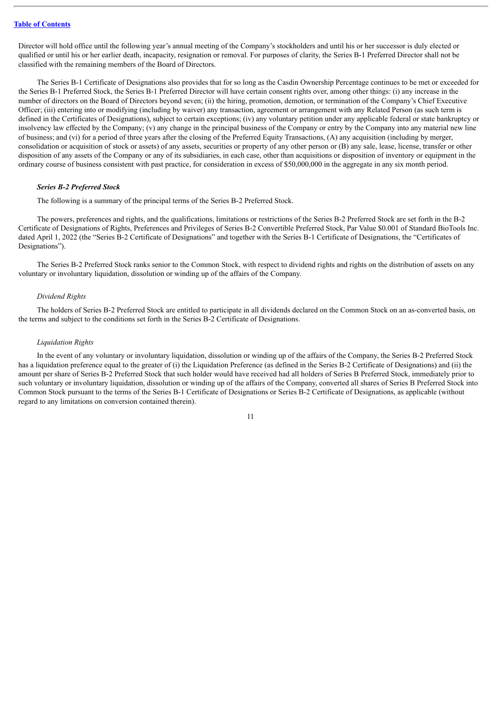Director will hold office until the following year's annual meeting of the Company's stockholders and until his or her successor is duly elected or qualified or until his or her earlier death, incapacity, resignation or removal. For purposes of clarity, the Series B-1 Preferred Director shall not be classified with the remaining members of the Board of Directors.

The Series B-1 Certificate of Designations also provides that for so long as the Casdin Ownership Percentage continues to be met or exceeded for the Series B-1 Preferred Stock, the Series B-1 Preferred Director will have certain consent rights over, among other things: (i) any increase in the number of directors on the Board of Directors beyond seven; (ii) the hiring, promotion, demotion, or termination of the Company's Chief Executive Officer; (iii) entering into or modifying (including by waiver) any transaction, agreement or arrangement with any Related Person (as such term is defined in the Certificates of Designations), subject to certain exceptions; (iv) any voluntary petition under any applicable federal or state bankruptcy or insolvency law effected by the Company; (v) any change in the principal business of the Company or entry by the Company into any material new line of business; and (vi) for a period of three years after the closing of the Preferred Equity Transactions, (A) any acquisition (including by merger, consolidation or acquisition of stock or assets) of any assets, securities or property of any other person or (B) any sale, lease, license, transfer or other disposition of any assets of the Company or any of its subsidiaries, in each case, other than acquisitions or disposition of inventory or equipment in the ordinary course of business consistent with past practice, for consideration in excess of \$50,000,000 in the aggregate in any six month period.

#### *Series B-2 Preferred Stock*

The following is a summary of the principal terms of the Series B-2 Preferred Stock.

The powers, preferences and rights, and the qualifications, limitations or restrictions of the Series B-2 Preferred Stock are set forth in the B-2 Certificate of Designations of Rights, Preferences and Privileges of Series B-2 Convertible Preferred Stock, Par Value \$0.001 of Standard BioTools Inc. dated April 1, 2022 (the "Series B-2 Certificate of Designations" and together with the Series B-1 Certificate of Designations, the "Certificates of Designations").

The Series B-2 Preferred Stock ranks senior to the Common Stock, with respect to dividend rights and rights on the distribution of assets on any voluntary or involuntary liquidation, dissolution or winding up of the affairs of the Company.

#### *Dividend Rights*

The holders of Series B-2 Preferred Stock are entitled to participate in all dividends declared on the Common Stock on an as-converted basis, on the terms and subject to the conditions set forth in the Series B-2 Certificate of Designations.

#### *Liquidation Rights*

In the event of any voluntary or involuntary liquidation, dissolution or winding up of the affairs of the Company, the Series B-2 Preferred Stock has a liquidation preference equal to the greater of (i) the Liquidation Preference (as defined in the Series B-2 Certificate of Designations) and (ii) the amount per share of Series B-2 Preferred Stock that such holder would have received had all holders of Series B Preferred Stock, immediately prior to such voluntary or involuntary liquidation, dissolution or winding up of the affairs of the Company, converted all shares of Series B Preferred Stock into Common Stock pursuant to the terms of the Series B-1 Certificate of Designations or Series B-2 Certificate of Designations, as applicable (without regard to any limitations on conversion contained therein).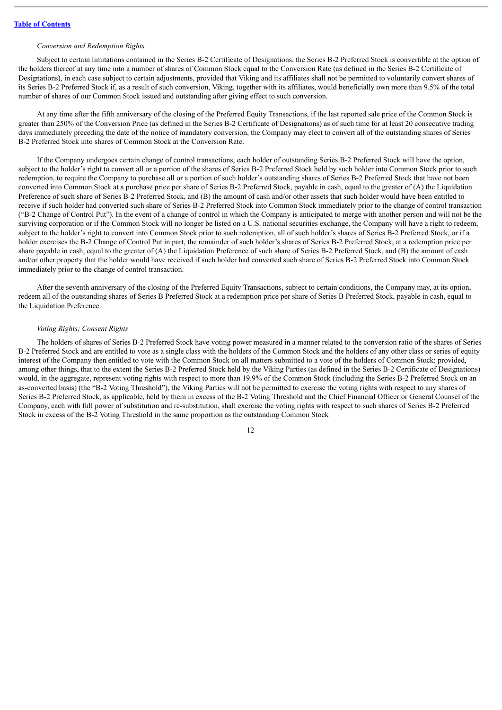#### *Conversion and Redemption Rights*

Subject to certain limitations contained in the Series B-2 Certificate of Designations, the Series B-2 Preferred Stock is convertible at the option of the holders thereof at any time into a number of shares of Common Stock equal to the Conversion Rate (as defined in the Series B-2 Certificate of Designations), in each case subject to certain adjustments, provided that Viking and its affiliates shall not be permitted to voluntarily convert shares of its Series B-2 Preferred Stock if, as a result of such conversion, Viking, together with its affiliates, would beneficially own more than 9.5% of the total number of shares of our Common Stock issued and outstanding after giving effect to such conversion.

At any time after the fifth anniversary of the closing of the Preferred Equity Transactions, if the last reported sale price of the Common Stock is greater than 250% of the Conversion Price (as defined in the Series B-2 Certificate of Designations) as of such time for at least 20 consecutive trading days immediately preceding the date of the notice of mandatory conversion, the Company may elect to convert all of the outstanding shares of Series B-2 Preferred Stock into shares of Common Stock at the Conversion Rate.

If the Company undergoes certain change of control transactions, each holder of outstanding Series B-2 Preferred Stock will have the option, subject to the holder's right to convert all or a portion of the shares of Series B-2 Preferred Stock held by such holder into Common Stock prior to such redemption, to require the Company to purchase all or a portion of such holder's outstanding shares of Series B-2 Preferred Stock that have not been converted into Common Stock at a purchase price per share of Series B-2 Preferred Stock, payable in cash, equal to the greater of (A) the Liquidation Preference of such share of Series B-2 Preferred Stock, and (B) the amount of cash and/or other assets that such holder would have been entitled to receive if such holder had converted such share of Series B-2 Preferred Stock into Common Stock immediately prior to the change of control transaction ("B-2 Change of Control Put"). In the event of a change of control in which the Company is anticipated to merge with another person and will not be the surviving corporation or if the Common Stock will no longer be listed on a U.S. national securities exchange, the Company will have a right to redeem, subject to the holder's right to convert into Common Stock prior to such redemption, all of such holder's shares of Series B-2 Preferred Stock, or if a holder exercises the B-2 Change of Control Put in part, the remainder of such holder's shares of Series B-2 Preferred Stock, at a redemption price per share payable in cash, equal to the greater of (A) the Liquidation Preference of such share of Series B-2 Preferred Stock, and (B) the amount of cash and/or other property that the holder would have received if such holder had converted such share of Series B-2 Preferred Stock into Common Stock immediately prior to the change of control transaction.

After the seventh anniversary of the closing of the Preferred Equity Transactions, subject to certain conditions, the Company may, at its option, redeem all of the outstanding shares of Series B Preferred Stock at a redemption price per share of Series B Preferred Stock, payable in cash, equal to the Liquidation Preference.

#### *Voting Rights; Consent Rights*

The holders of shares of Series B-2 Preferred Stock have voting power measured in a manner related to the conversion ratio of the shares of Series B-2 Preferred Stock and are entitled to vote as a single class with the holders of the Common Stock and the holders of any other class or series of equity interest of the Company then entitled to vote with the Common Stock on all matters submitted to a vote of the holders of Common Stock; provided, among other things, that to the extent the Series B-2 Preferred Stock held by the Viking Parties (as defined in the Series B-2 Certificate of Designations) would, in the aggregate, represent voting rights with respect to more than 19.9% of the Common Stock (including the Series B-2 Preferred Stock on an as-converted basis) (the "B-2 Voting Threshold"), the Viking Parties will not be permitted to exercise the voting rights with respect to any shares of Series B-2 Preferred Stock, as applicable, held by them in excess of the B-2 Voting Threshold and the Chief Financial Officer or General Counsel of the Company, each with full power of substitution and re-substitution, shall exercise the voting rights with respect to such shares of Series B-2 Preferred Stock in excess of the B-2 Voting Threshold in the same proportion as the outstanding Common Stock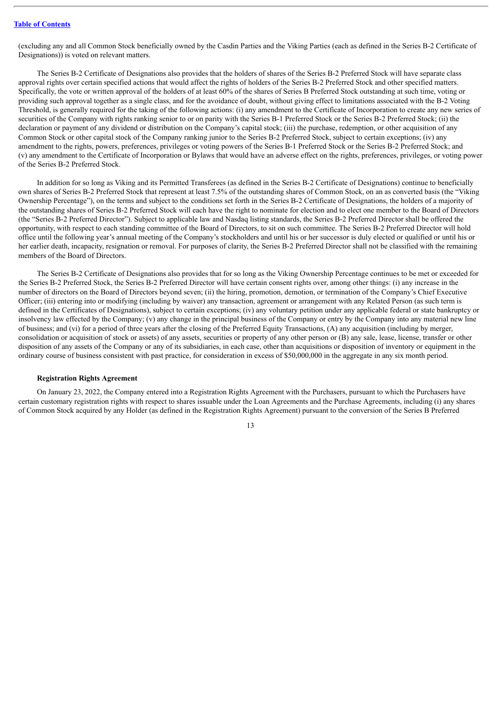(excluding any and all Common Stock beneficially owned by the Casdin Parties and the Viking Parties (each as defined in the Series B-2 Certificate of Designations)) is voted on relevant matters.

The Series B-2 Certificate of Designations also provides that the holders of shares of the Series B-2 Preferred Stock will have separate class approval rights over certain specified actions that would affect the rights of holders of the Series B-2 Preferred Stock and other specified matters. Specifically, the vote or written approval of the holders of at least 60% of the shares of Series B Preferred Stock outstanding at such time, voting or providing such approval together as a single class, and for the avoidance of doubt, without giving effect to limitations associated with the B-2 Voting Threshold, is generally required for the taking of the following actions: (i) any amendment to the Certificate of Incorporation to create any new series of securities of the Company with rights ranking senior to or on parity with the Series B-1 Preferred Stock or the Series B-2 Preferred Stock; (ii) the declaration or payment of any dividend or distribution on the Company's capital stock; (iii) the purchase, redemption, or other acquisition of any Common Stock or other capital stock of the Company ranking junior to the Series B-2 Preferred Stock, subject to certain exceptions; (iv) any amendment to the rights, powers, preferences, privileges or voting powers of the Series B-1 Preferred Stock or the Series B-2 Preferred Stock; and (v) any amendment to the Certificate of Incorporation or Bylaws that would have an adverse effect on the rights, preferences, privileges, or voting power of the Series B-2 Preferred Stock.

In addition for so long as Viking and its Permitted Transferees (as defined in the Series B-2 Certificate of Designations) continue to beneficially own shares of Series B-2 Preferred Stock that represent at least 7.5% of the outstanding shares of Common Stock, on an as converted basis (the "Viking Ownership Percentage"), on the terms and subject to the conditions set forth in the Series B-2 Certificate of Designations, the holders of a majority of the outstanding shares of Series B-2 Preferred Stock will each have the right to nominate for election and to elect one member to the Board of Directors (the "Series B-2 Preferred Director"). Subject to applicable law and Nasdaq listing standards, the Series B-2 Preferred Director shall be offered the opportunity, with respect to each standing committee of the Board of Directors, to sit on such committee. The Series B-2 Preferred Director will hold office until the following year's annual meeting of the Company's stockholders and until his or her successor is duly elected or qualified or until his or her earlier death, incapacity, resignation or removal. For purposes of clarity, the Series B-2 Preferred Director shall not be classified with the remaining members of the Board of Directors.

The Series B-2 Certificate of Designations also provides that for so long as the Viking Ownership Percentage continues to be met or exceeded for the Series B-2 Preferred Stock, the Series B-2 Preferred Director will have certain consent rights over, among other things: (i) any increase in the number of directors on the Board of Directors beyond seven; (ii) the hiring, promotion, demotion, or termination of the Company's Chief Executive Officer; (iii) entering into or modifying (including by waiver) any transaction, agreement or arrangement with any Related Person (as such term is defined in the Certificates of Designations), subject to certain exceptions; (iv) any voluntary petition under any applicable federal or state bankruptcy or insolvency law effected by the Company; (v) any change in the principal business of the Company or entry by the Company into any material new line of business; and (vi) for a period of three years after the closing of the Preferred Equity Transactions, (A) any acquisition (including by merger, consolidation or acquisition of stock or assets) of any assets, securities or property of any other person or (B) any sale, lease, license, transfer or other disposition of any assets of the Company or any of its subsidiaries, in each case, other than acquisitions or disposition of inventory or equipment in the ordinary course of business consistent with past practice, for consideration in excess of \$50,000,000 in the aggregate in any six month period.

#### **Registration Rights Agreement**

On January 23, 2022, the Company entered into a Registration Rights Agreement with the Purchasers, pursuant to which the Purchasers have certain customary registration rights with respect to shares issuable under the Loan Agreements and the Purchase Agreements, including (i) any shares of Common Stock acquired by any Holder (as defined in the Registration Rights Agreement) pursuant to the conversion of the Series B Preferred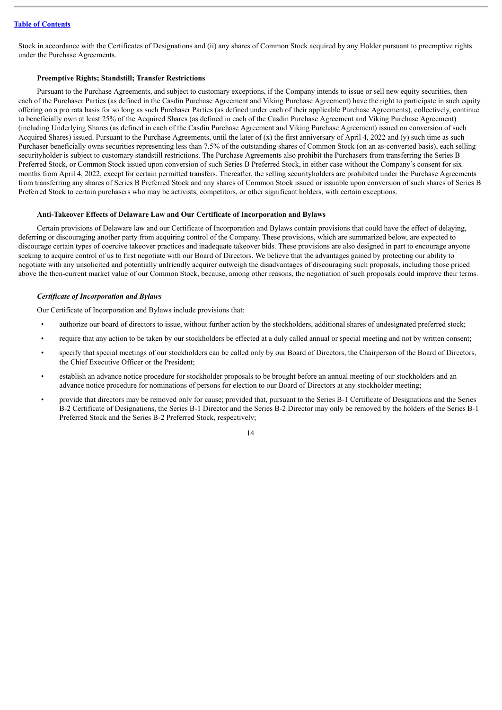Stock in accordance with the Certificates of Designations and (ii) any shares of Common Stock acquired by any Holder pursuant to preemptive rights under the Purchase Agreements.

#### **Preemptive Rights; Standstill; Transfer Restrictions**

Pursuant to the Purchase Agreements, and subject to customary exceptions, if the Company intends to issue or sell new equity securities, then each of the Purchaser Parties (as defined in the Casdin Purchase Agreement and Viking Purchase Agreement) have the right to participate in such equity offering on a pro rata basis for so long as such Purchaser Parties (as defined under each of their applicable Purchase Agreements), collectively, continue to beneficially own at least 25% of the Acquired Shares (as defined in each of the Casdin Purchase Agreement and Viking Purchase Agreement) (including Underlying Shares (as defined in each of the Casdin Purchase Agreement and Viking Purchase Agreement) issued on conversion of such Acquired Shares) issued. Pursuant to the Purchase Agreements, until the later of  $(x)$  the first anniversary of April 4, 2022 and  $(y)$  such time as such Purchaser beneficially owns securities representing less than 7.5% of the outstanding shares of Common Stock (on an as-converted basis), each selling securityholder is subject to customary standstill restrictions. The Purchase Agreements also prohibit the Purchasers from transferring the Series B Preferred Stock, or Common Stock issued upon conversion of such Series B Preferred Stock, in either case without the Company's consent for six months from April 4, 2022, except for certain permitted transfers. Thereafter, the selling securityholders are prohibited under the Purchase Agreements from transferring any shares of Series B Preferred Stock and any shares of Common Stock issued or issuable upon conversion of such shares of Series B Preferred Stock to certain purchasers who may be activists, competitors, or other significant holders, with certain exceptions.

#### **Anti-Takeover Effects of Delaware Law and Our Certificate of Incorporation and Bylaws**

Certain provisions of Delaware law and our Certificate of Incorporation and Bylaws contain provisions that could have the effect of delaying, deferring or discouraging another party from acquiring control of the Company. These provisions, which are summarized below, are expected to discourage certain types of coercive takeover practices and inadequate takeover bids. These provisions are also designed in part to encourage anyone seeking to acquire control of us to first negotiate with our Board of Directors. We believe that the advantages gained by protecting our ability to negotiate with any unsolicited and potentially unfriendly acquirer outweigh the disadvantages of discouraging such proposals, including those priced above the then-current market value of our Common Stock, because, among other reasons, the negotiation of such proposals could improve their terms.

#### *Certificate of Incorporation and Bylaws*

Our Certificate of Incorporation and Bylaws include provisions that:

- authorize our board of directors to issue, without further action by the stockholders, additional shares of undesignated preferred stock;
- require that any action to be taken by our stockholders be effected at a duly called annual or special meeting and not by written consent;
- specify that special meetings of our stockholders can be called only by our Board of Directors, the Chairperson of the Board of Directors, the Chief Executive Officer or the President;
- establish an advance notice procedure for stockholder proposals to be brought before an annual meeting of our stockholders and an advance notice procedure for nominations of persons for election to our Board of Directors at any stockholder meeting;
- provide that directors may be removed only for cause; provided that, pursuant to the Series B-1 Certificate of Designations and the Series B-2 Certificate of Designations, the Series B-1 Director and the Series B-2 Director may only be removed by the holders of the Series B-1 Preferred Stock and the Series B-2 Preferred Stock, respectively;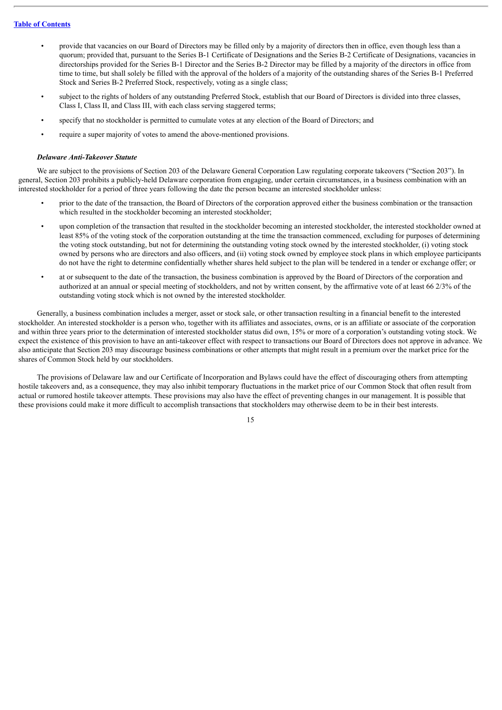- provide that vacancies on our Board of Directors may be filled only by a majority of directors then in office, even though less than a quorum; provided that, pursuant to the Series B-1 Certificate of Designations and the Series B-2 Certificate of Designations, vacancies in directorships provided for the Series B-1 Director and the Series B-2 Director may be filled by a majority of the directors in office from time to time, but shall solely be filled with the approval of the holders of a majority of the outstanding shares of the Series B-1 Preferred Stock and Series B-2 Preferred Stock, respectively, voting as a single class;
- subject to the rights of holders of any outstanding Preferred Stock, establish that our Board of Directors is divided into three classes, Class I, Class II, and Class III, with each class serving staggered terms;
- specify that no stockholder is permitted to cumulate votes at any election of the Board of Directors; and
- require a super majority of votes to amend the above-mentioned provisions.

#### *Delaware Anti-Takeover Statute*

We are subject to the provisions of Section 203 of the Delaware General Corporation Law regulating corporate takeovers ("Section 203"). In general, Section 203 prohibits a publicly-held Delaware corporation from engaging, under certain circumstances, in a business combination with an interested stockholder for a period of three years following the date the person became an interested stockholder unless:

- prior to the date of the transaction, the Board of Directors of the corporation approved either the business combination or the transaction which resulted in the stockholder becoming an interested stockholder;
- upon completion of the transaction that resulted in the stockholder becoming an interested stockholder, the interested stockholder owned at least 85% of the voting stock of the corporation outstanding at the time the transaction commenced, excluding for purposes of determining the voting stock outstanding, but not for determining the outstanding voting stock owned by the interested stockholder, (i) voting stock owned by persons who are directors and also officers, and (ii) voting stock owned by employee stock plans in which employee participants do not have the right to determine confidentially whether shares held subject to the plan will be tendered in a tender or exchange offer; or
- at or subsequent to the date of the transaction, the business combination is approved by the Board of Directors of the corporation and authorized at an annual or special meeting of stockholders, and not by written consent, by the affirmative vote of at least 66 2/3% of the outstanding voting stock which is not owned by the interested stockholder.

Generally, a business combination includes a merger, asset or stock sale, or other transaction resulting in a financial benefit to the interested stockholder. An interested stockholder is a person who, together with its affiliates and associates, owns, or is an affiliate or associate of the corporation and within three years prior to the determination of interested stockholder status did own, 15% or more of a corporation's outstanding voting stock. We expect the existence of this provision to have an anti-takeover effect with respect to transactions our Board of Directors does not approve in advance. We also anticipate that Section 203 may discourage business combinations or other attempts that might result in a premium over the market price for the shares of Common Stock held by our stockholders.

The provisions of Delaware law and our Certificate of Incorporation and Bylaws could have the effect of discouraging others from attempting hostile takeovers and, as a consequence, they may also inhibit temporary fluctuations in the market price of our Common Stock that often result from actual or rumored hostile takeover attempts. These provisions may also have the effect of preventing changes in our management. It is possible that these provisions could make it more difficult to accomplish transactions that stockholders may otherwise deem to be in their best interests.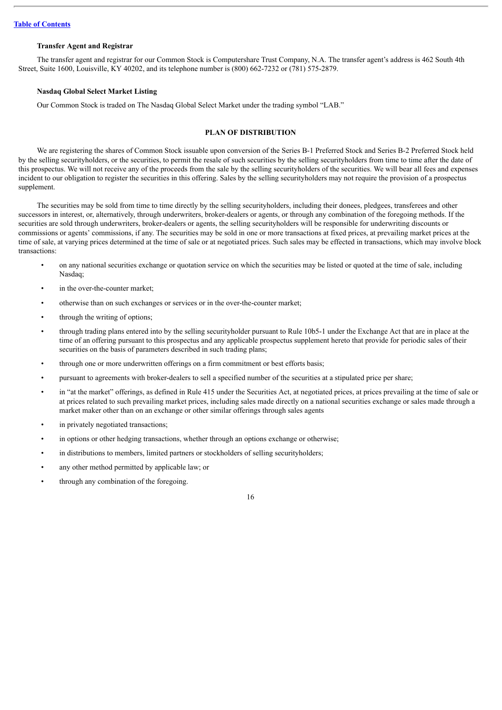#### **Transfer Agent and Registrar**

The transfer agent and registrar for our Common Stock is Computershare Trust Company, N.A. The transfer agent's address is 462 South 4th Street, Suite 1600, Louisville, KY 40202, and its telephone number is (800) 662-7232 or (781) 575-2879.

#### **Nasdaq Global Select Market Listing**

Our Common Stock is traded on The Nasdaq Global Select Market under the trading symbol "LAB."

#### **PLAN OF DISTRIBUTION**

<span id="page-18-0"></span>We are registering the shares of Common Stock issuable upon conversion of the Series B-1 Preferred Stock and Series B-2 Preferred Stock held by the selling securityholders, or the securities, to permit the resale of such securities by the selling securityholders from time to time after the date of this prospectus. We will not receive any of the proceeds from the sale by the selling securityholders of the securities. We will bear all fees and expenses incident to our obligation to register the securities in this offering. Sales by the selling securityholders may not require the provision of a prospectus supplement.

The securities may be sold from time to time directly by the selling securityholders, including their donees, pledgees, transferees and other successors in interest, or, alternatively, through underwriters, broker-dealers or agents, or through any combination of the foregoing methods. If the securities are sold through underwriters, broker-dealers or agents, the selling securityholders will be responsible for underwriting discounts or commissions or agents' commissions, if any. The securities may be sold in one or more transactions at fixed prices, at prevailing market prices at the time of sale, at varying prices determined at the time of sale or at negotiated prices. Such sales may be effected in transactions, which may involve block transactions:

- on any national securities exchange or quotation service on which the securities may be listed or quoted at the time of sale, including Nasdaq;
- in the over-the-counter market;
- otherwise than on such exchanges or services or in the over-the-counter market;
- through the writing of options;
- through trading plans entered into by the selling securityholder pursuant to Rule 10b5-1 under the Exchange Act that are in place at the time of an offering pursuant to this prospectus and any applicable prospectus supplement hereto that provide for periodic sales of their securities on the basis of parameters described in such trading plans;
- through one or more underwritten offerings on a firm commitment or best efforts basis;
- pursuant to agreements with broker-dealers to sell a specified number of the securities at a stipulated price per share;
- in "at the market" offerings, as defined in Rule 415 under the Securities Act, at negotiated prices, at prices prevailing at the time of sale or at prices related to such prevailing market prices, including sales made directly on a national securities exchange or sales made through a market maker other than on an exchange or other similar offerings through sales agents
- in privately negotiated transactions;
- in options or other hedging transactions, whether through an options exchange or otherwise;
- in distributions to members, limited partners or stockholders of selling securityholders;
- any other method permitted by applicable law; or
- through any combination of the foregoing.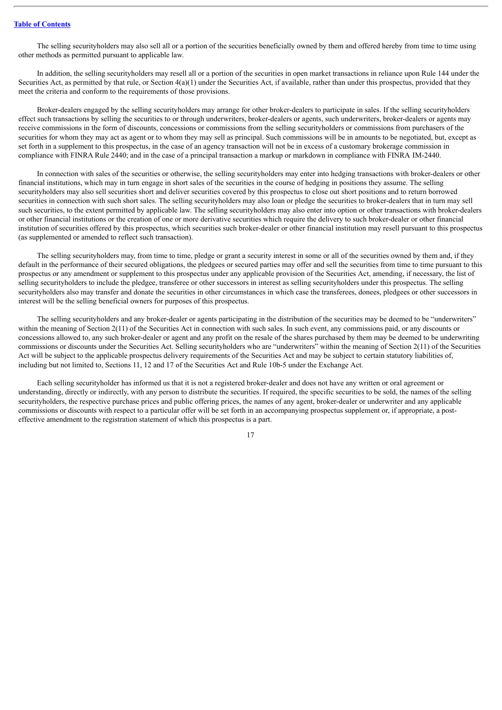The selling securityholders may also sell all or a portion of the securities beneficially owned by them and offered hereby from time to time using other methods as permitted pursuant to applicable law.

In addition, the selling securityholders may resell all or a portion of the securities in open market transactions in reliance upon Rule 144 under the Securities Act, as permitted by that rule, or Section  $4(a)(1)$  under the Securities Act, if available, rather than under this prospectus, provided that they meet the criteria and conform to the requirements of those provisions.

Broker-dealers engaged by the selling securityholders may arrange for other broker-dealers to participate in sales. If the selling securityholders effect such transactions by selling the securities to or through underwriters, broker-dealers or agents, such underwriters, broker-dealers or agents may receive commissions in the form of discounts, concessions or commissions from the selling securityholders or commissions from purchasers of the securities for whom they may act as agent or to whom they may sell as principal. Such commissions will be in amounts to be negotiated, but, except as set forth in a supplement to this prospectus, in the case of an agency transaction will not be in excess of a customary brokerage commission in compliance with FINRA Rule 2440; and in the case of a principal transaction a markup or markdown in compliance with FINRA IM-2440.

In connection with sales of the securities or otherwise, the selling securityholders may enter into hedging transactions with broker-dealers or other financial institutions, which may in turn engage in short sales of the securities in the course of hedging in positions they assume. The selling securityholders may also sell securities short and deliver securities covered by this prospectus to close out short positions and to return borrowed securities in connection with such short sales. The selling securityholders may also loan or pledge the securities to broker-dealers that in turn may sell such securities, to the extent permitted by applicable law. The selling securityholders may also enter into option or other transactions with broker-dealers or other financial institutions or the creation of one or more derivative securities which require the delivery to such broker-dealer or other financial institution of securities offered by this prospectus, which securities such broker-dealer or other financial institution may resell pursuant to this prospectus (as supplemented or amended to reflect such transaction).

The selling securityholders may, from time to time, pledge or grant a security interest in some or all of the securities owned by them and, if they default in the performance of their secured obligations, the pledgees or secured parties may offer and sell the securities from time to time pursuant to this prospectus or any amendment or supplement to this prospectus under any applicable provision of the Securities Act, amending, if necessary, the list of selling securityholders to include the pledgee, transferee or other successors in interest as selling securityholders under this prospectus. The selling securityholders also may transfer and donate the securities in other circumstances in which case the transferees, donees, pledgees or other successors in interest will be the selling beneficial owners for purposes of this prospectus.

The selling securityholders and any broker-dealer or agents participating in the distribution of the securities may be deemed to be "underwriters" within the meaning of Section 2(11) of the Securities Act in connection with such sales. In such event, any commissions paid, or any discounts or concessions allowed to, any such broker-dealer or agent and any profit on the resale of the shares purchased by them may be deemed to be underwriting commissions or discounts under the Securities Act. Selling securityholders who are "underwriters" within the meaning of Section 2(11) of the Securities Act will be subject to the applicable prospectus delivery requirements of the Securities Act and may be subject to certain statutory liabilities of, including but not limited to, Sections 11, 12 and 17 of the Securities Act and Rule 10b-5 under the Exchange Act.

Each selling securityholder has informed us that it is not a registered broker-dealer and does not have any written or oral agreement or understanding, directly or indirectly, with any person to distribute the securities. If required, the specific securities to be sold, the names of the selling securityholders, the respective purchase prices and public offering prices, the names of any agent, broker-dealer or underwriter and any applicable commissions or discounts with respect to a particular offer will be set forth in an accompanying prospectus supplement or, if appropriate, a posteffective amendment to the registration statement of which this prospectus is a part.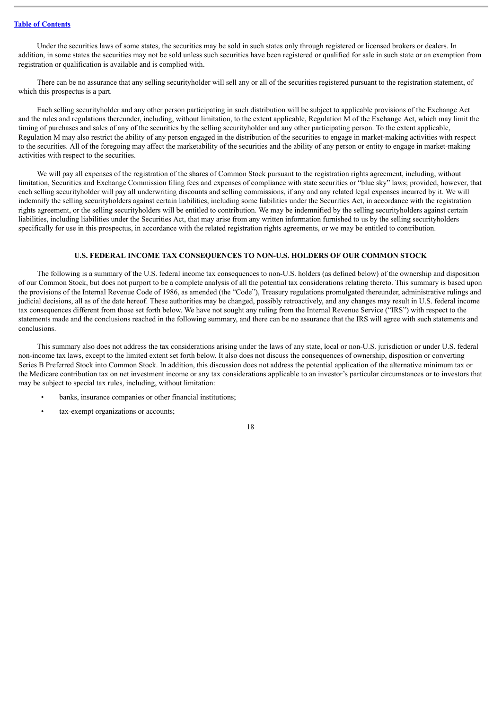Under the securities laws of some states, the securities may be sold in such states only through registered or licensed brokers or dealers. In addition, in some states the securities may not be sold unless such securities have been registered or qualified for sale in such state or an exemption from registration or qualification is available and is complied with.

There can be no assurance that any selling securityholder will sell any or all of the securities registered pursuant to the registration statement, of which this prospectus is a part.

Each selling securityholder and any other person participating in such distribution will be subject to applicable provisions of the Exchange Act and the rules and regulations thereunder, including, without limitation, to the extent applicable, Regulation M of the Exchange Act, which may limit the timing of purchases and sales of any of the securities by the selling securityholder and any other participating person. To the extent applicable, Regulation M may also restrict the ability of any person engaged in the distribution of the securities to engage in market-making activities with respect to the securities. All of the foregoing may affect the marketability of the securities and the ability of any person or entity to engage in market-making activities with respect to the securities.

We will pay all expenses of the registration of the shares of Common Stock pursuant to the registration rights agreement, including, without limitation, Securities and Exchange Commission filing fees and expenses of compliance with state securities or "blue sky" laws; provided, however, that each selling securityholder will pay all underwriting discounts and selling commissions, if any and any related legal expenses incurred by it. We will indemnify the selling securityholders against certain liabilities, including some liabilities under the Securities Act, in accordance with the registration rights agreement, or the selling securityholders will be entitled to contribution. We may be indemnified by the selling securityholders against certain liabilities, including liabilities under the Securities Act, that may arise from any written information furnished to us by the selling securityholders specifically for use in this prospectus, in accordance with the related registration rights agreements, or we may be entitled to contribution.

#### **U.S. FEDERAL INCOME TAX CONSEQUENCES TO NON-U.S. HOLDERS OF OUR COMMON STOCK**

<span id="page-20-0"></span>The following is a summary of the U.S. federal income tax consequences to non-U.S. holders (as defined below) of the ownership and disposition of our Common Stock, but does not purport to be a complete analysis of all the potential tax considerations relating thereto. This summary is based upon the provisions of the Internal Revenue Code of 1986, as amended (the "Code"), Treasury regulations promulgated thereunder, administrative rulings and judicial decisions, all as of the date hereof. These authorities may be changed, possibly retroactively, and any changes may result in U.S. federal income tax consequences different from those set forth below. We have not sought any ruling from the Internal Revenue Service ("IRS") with respect to the statements made and the conclusions reached in the following summary, and there can be no assurance that the IRS will agree with such statements and conclusions.

This summary also does not address the tax considerations arising under the laws of any state, local or non-U.S. jurisdiction or under U.S. federal non-income tax laws, except to the limited extent set forth below. It also does not discuss the consequences of ownership, disposition or converting Series B Preferred Stock into Common Stock. In addition, this discussion does not address the potential application of the alternative minimum tax or the Medicare contribution tax on net investment income or any tax considerations applicable to an investor's particular circumstances or to investors that may be subject to special tax rules, including, without limitation:

- banks, insurance companies or other financial institutions;
- tax-exempt organizations or accounts;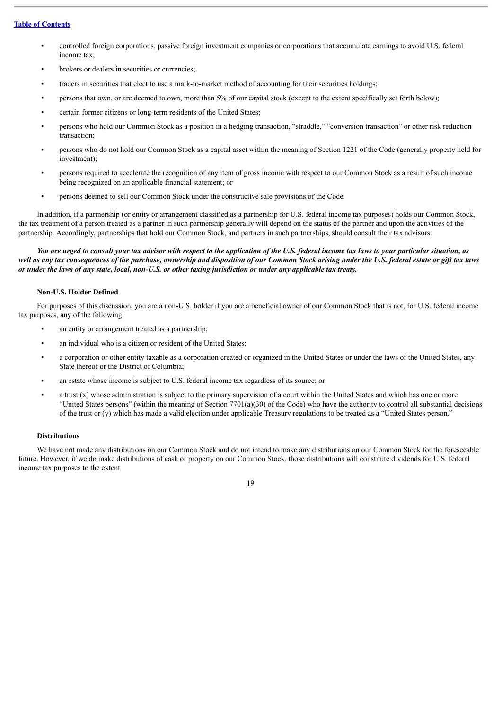- controlled foreign corporations, passive foreign investment companies or corporations that accumulate earnings to avoid U.S. federal income tax;
- brokers or dealers in securities or currencies;
- traders in securities that elect to use a mark-to-market method of accounting for their securities holdings;
- persons that own, or are deemed to own, more than 5% of our capital stock (except to the extent specifically set forth below);
- certain former citizens or long-term residents of the United States;
- persons who hold our Common Stock as a position in a hedging transaction, "straddle," "conversion transaction" or other risk reduction transaction;
- persons who do not hold our Common Stock as a capital asset within the meaning of Section 1221 of the Code (generally property held for investment);
- persons required to accelerate the recognition of any item of gross income with respect to our Common Stock as a result of such income being recognized on an applicable financial statement; or
- persons deemed to sell our Common Stock under the constructive sale provisions of the Code.

In addition, if a partnership (or entity or arrangement classified as a partnership for U.S. federal income tax purposes) holds our Common Stock, the tax treatment of a person treated as a partner in such partnership generally will depend on the status of the partner and upon the activities of the partnership. Accordingly, partnerships that hold our Common Stock, and partners in such partnerships, should consult their tax advisors.

You are urged to consult your tax advisor with respect to the application of the U.S. federal income tax laws to your particular situation, as well as any tax consequences of the purchase, ownership and disposition of our Common Stock arising under the U.S. federal estate or gift tax laws or under the laws of any state, local, non-U.S. or other taxing jurisdiction or under any applicable tax treaty.

#### **Non-U.S. Holder Defined**

For purposes of this discussion, you are a non-U.S. holder if you are a beneficial owner of our Common Stock that is not, for U.S. federal income tax purposes, any of the following:

- an entity or arrangement treated as a partnership:
- an individual who is a citizen or resident of the United States;
- a corporation or other entity taxable as a corporation created or organized in the United States or under the laws of the United States, any State thereof or the District of Columbia;
- an estate whose income is subject to U.S. federal income tax regardless of its source; or
- a trust (x) whose administration is subject to the primary supervision of a court within the United States and which has one or more "United States persons" (within the meaning of Section 7701(a)(30) of the Code) who have the authority to control all substantial decisions of the trust or (y) which has made a valid election under applicable Treasury regulations to be treated as a "United States person."

#### **Distributions**

We have not made any distributions on our Common Stock and do not intend to make any distributions on our Common Stock for the foreseeable future. However, if we do make distributions of cash or property on our Common Stock, those distributions will constitute dividends for U.S. federal income tax purposes to the extent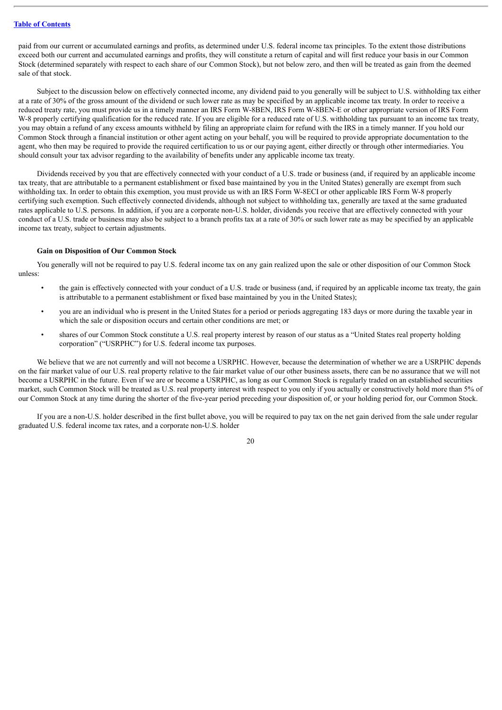paid from our current or accumulated earnings and profits, as determined under U.S. federal income tax principles. To the extent those distributions exceed both our current and accumulated earnings and profits, they will constitute a return of capital and will first reduce your basis in our Common Stock (determined separately with respect to each share of our Common Stock), but not below zero, and then will be treated as gain from the deemed sale of that stock.

Subject to the discussion below on effectively connected income, any dividend paid to you generally will be subject to U.S. withholding tax either at a rate of 30% of the gross amount of the dividend or such lower rate as may be specified by an applicable income tax treaty. In order to receive a reduced treaty rate, you must provide us in a timely manner an IRS Form W-8BEN, IRS Form W-8BEN-E or other appropriate version of IRS Form W-8 properly certifying qualification for the reduced rate. If you are eligible for a reduced rate of U.S. withholding tax pursuant to an income tax treaty, you may obtain a refund of any excess amounts withheld by filing an appropriate claim for refund with the IRS in a timely manner. If you hold our Common Stock through a financial institution or other agent acting on your behalf, you will be required to provide appropriate documentation to the agent, who then may be required to provide the required certification to us or our paying agent, either directly or through other intermediaries. You should consult your tax advisor regarding to the availability of benefits under any applicable income tax treaty.

Dividends received by you that are effectively connected with your conduct of a U.S. trade or business (and, if required by an applicable income tax treaty, that are attributable to a permanent establishment or fixed base maintained by you in the United States) generally are exempt from such withholding tax. In order to obtain this exemption, you must provide us with an IRS Form W-8ECI or other applicable IRS Form W-8 properly certifying such exemption. Such effectively connected dividends, although not subject to withholding tax, generally are taxed at the same graduated rates applicable to U.S. persons. In addition, if you are a corporate non-U.S. holder, dividends you receive that are effectively connected with your conduct of a U.S. trade or business may also be subject to a branch profits tax at a rate of 30% or such lower rate as may be specified by an applicable income tax treaty, subject to certain adjustments.

#### **Gain on Disposition of Our Common Stock**

You generally will not be required to pay U.S. federal income tax on any gain realized upon the sale or other disposition of our Common Stock unless:

- the gain is effectively connected with your conduct of a U.S. trade or business (and, if required by an applicable income tax treaty, the gain is attributable to a permanent establishment or fixed base maintained by you in the United States);
- you are an individual who is present in the United States for a period or periods aggregating 183 days or more during the taxable year in which the sale or disposition occurs and certain other conditions are met; or
- shares of our Common Stock constitute a U.S. real property interest by reason of our status as a "United States real property holding corporation" ("USRPHC") for U.S. federal income tax purposes.

We believe that we are not currently and will not become a USRPHC. However, because the determination of whether we are a USRPHC depends on the fair market value of our U.S. real property relative to the fair market value of our other business assets, there can be no assurance that we will not become a USRPHC in the future. Even if we are or become a USRPHC, as long as our Common Stock is regularly traded on an established securities market, such Common Stock will be treated as U.S. real property interest with respect to you only if you actually or constructively hold more than 5% of our Common Stock at any time during the shorter of the five-year period preceding your disposition of, or your holding period for, our Common Stock.

If you are a non-U.S. holder described in the first bullet above, you will be required to pay tax on the net gain derived from the sale under regular graduated U.S. federal income tax rates, and a corporate non-U.S. holder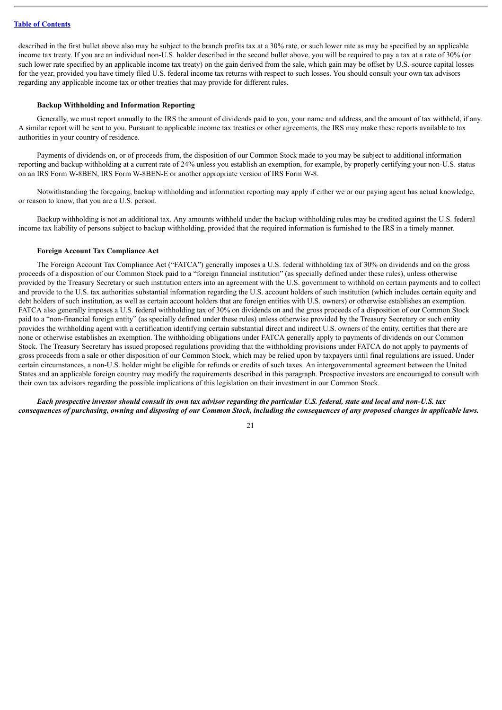described in the first bullet above also may be subject to the branch profits tax at a 30% rate, or such lower rate as may be specified by an applicable income tax treaty. If you are an individual non-U.S. holder described in the second bullet above, you will be required to pay a tax at a rate of 30% (or such lower rate specified by an applicable income tax treaty) on the gain derived from the sale, which gain may be offset by U.S.-source capital losses for the year, provided you have timely filed U.S. federal income tax returns with respect to such losses. You should consult your own tax advisors regarding any applicable income tax or other treaties that may provide for different rules.

#### **Backup Withholding and Information Reporting**

Generally, we must report annually to the IRS the amount of dividends paid to you, your name and address, and the amount of tax withheld, if any. A similar report will be sent to you. Pursuant to applicable income tax treaties or other agreements, the IRS may make these reports available to tax authorities in your country of residence.

Payments of dividends on, or of proceeds from, the disposition of our Common Stock made to you may be subject to additional information reporting and backup withholding at a current rate of 24% unless you establish an exemption, for example, by properly certifying your non-U.S. status on an IRS Form W-8BEN, IRS Form W-8BEN-E or another appropriate version of IRS Form W-8.

Notwithstanding the foregoing, backup withholding and information reporting may apply if either we or our paying agent has actual knowledge, or reason to know, that you are a U.S. person.

Backup withholding is not an additional tax. Any amounts withheld under the backup withholding rules may be credited against the U.S. federal income tax liability of persons subject to backup withholding, provided that the required information is furnished to the IRS in a timely manner.

#### **Foreign Account Tax Compliance Act**

The Foreign Account Tax Compliance Act ("FATCA") generally imposes a U.S. federal withholding tax of 30% on dividends and on the gross proceeds of a disposition of our Common Stock paid to a "foreign financial institution" (as specially defined under these rules), unless otherwise provided by the Treasury Secretary or such institution enters into an agreement with the U.S. government to withhold on certain payments and to collect and provide to the U.S. tax authorities substantial information regarding the U.S. account holders of such institution (which includes certain equity and debt holders of such institution, as well as certain account holders that are foreign entities with U.S. owners) or otherwise establishes an exemption. FATCA also generally imposes a U.S. federal withholding tax of 30% on dividends on and the gross proceeds of a disposition of our Common Stock paid to a "non-financial foreign entity" (as specially defined under these rules) unless otherwise provided by the Treasury Secretary or such entity provides the withholding agent with a certification identifying certain substantial direct and indirect U.S. owners of the entity, certifies that there are none or otherwise establishes an exemption. The withholding obligations under FATCA generally apply to payments of dividends on our Common Stock. The Treasury Secretary has issued proposed regulations providing that the withholding provisions under FATCA do not apply to payments of gross proceeds from a sale or other disposition of our Common Stock, which may be relied upon by taxpayers until final regulations are issued. Under certain circumstances, a non-U.S. holder might be eligible for refunds or credits of such taxes. An intergovernmental agreement between the United States and an applicable foreign country may modify the requirements described in this paragraph. Prospective investors are encouraged to consult with their own tax advisors regarding the possible implications of this legislation on their investment in our Common Stock.

Each prospective investor should consult its own tax advisor regarding the particular U.S. federal, state and local and non-U.S. tax consequences of purchasing, owning and disposing of our Common Stock, including the consequences of any proposed changes in applicable laws.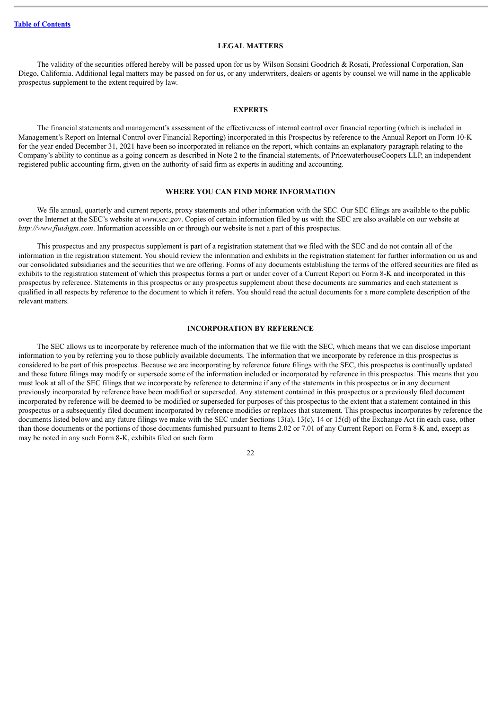#### **LEGAL MATTERS**

<span id="page-24-0"></span>The validity of the securities offered hereby will be passed upon for us by Wilson Sonsini Goodrich & Rosati, Professional Corporation, San Diego, California. Additional legal matters may be passed on for us, or any underwriters, dealers or agents by counsel we will name in the applicable prospectus supplement to the extent required by law.

#### **EXPERTS**

<span id="page-24-1"></span>The financial statements and management's assessment of the effectiveness of internal control over financial reporting (which is included in Management's Report on Internal Control over Financial Reporting) incorporated in this Prospectus by reference to the Annual Report on Form 10-K for the year ended December 31, 2021 have been so incorporated in reliance on the report, which contains an explanatory paragraph relating to the Company's ability to continue as a going concern as described in Note 2 to the financial statements, of PricewaterhouseCoopers LLP, an independent registered public accounting firm, given on the authority of said firm as experts in auditing and accounting.

#### **WHERE YOU CAN FIND MORE INFORMATION**

<span id="page-24-2"></span>We file annual, quarterly and current reports, proxy statements and other information with the SEC. Our SEC filings are available to the public over the Internet at the SEC's website at *www.sec.gov*. Copies of certain information filed by us with the SEC are also available on our website at *http://www.fluidigm.com*. Information accessible on or through our website is not a part of this prospectus.

This prospectus and any prospectus supplement is part of a registration statement that we filed with the SEC and do not contain all of the information in the registration statement. You should review the information and exhibits in the registration statement for further information on us and our consolidated subsidiaries and the securities that we are offering. Forms of any documents establishing the terms of the offered securities are filed as exhibits to the registration statement of which this prospectus forms a part or under cover of a Current Report on Form 8-K and incorporated in this prospectus by reference. Statements in this prospectus or any prospectus supplement about these documents are summaries and each statement is qualified in all respects by reference to the document to which it refers. You should read the actual documents for a more complete description of the relevant matters.

#### **INCORPORATION BY REFERENCE**

<span id="page-24-3"></span>The SEC allows us to incorporate by reference much of the information that we file with the SEC, which means that we can disclose important information to you by referring you to those publicly available documents. The information that we incorporate by reference in this prospectus is considered to be part of this prospectus. Because we are incorporating by reference future filings with the SEC, this prospectus is continually updated and those future filings may modify or supersede some of the information included or incorporated by reference in this prospectus. This means that you must look at all of the SEC filings that we incorporate by reference to determine if any of the statements in this prospectus or in any document previously incorporated by reference have been modified or superseded. Any statement contained in this prospectus or a previously filed document incorporated by reference will be deemed to be modified or superseded for purposes of this prospectus to the extent that a statement contained in this prospectus or a subsequently filed document incorporated by reference modifies or replaces that statement. This prospectus incorporates by reference the documents listed below and any future filings we make with the SEC under Sections 13(a), 13(c), 14 or 15(d) of the Exchange Act (in each case, other than those documents or the portions of those documents furnished pursuant to Items 2.02 or 7.01 of any Current Report on Form 8-K and, except as may be noted in any such Form 8-K, exhibits filed on such form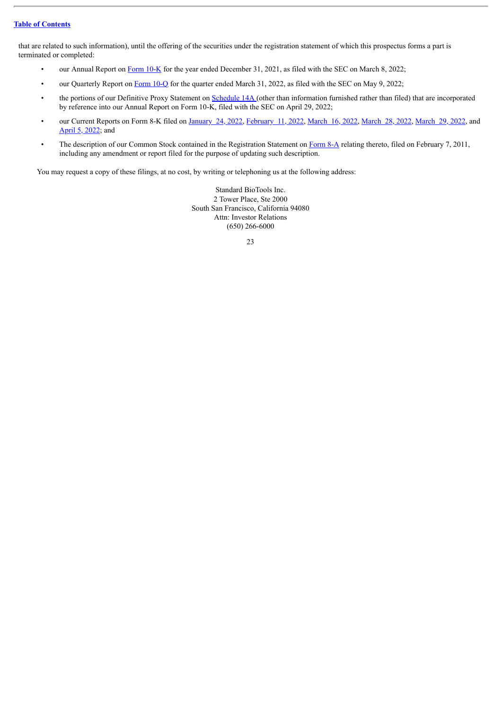that are related to such information), until the offering of the securities under the registration statement of which this prospectus forms a part is terminated or completed:

- our Annual Report on [Form](http://www.sec.gov/ix?doc=/Archives/edgar/data/1162194/000116219422000021/fldm-20211231.htm) 10-K for the year ended December 31, 2021, as filed with the SEC on March 8, 2022;
- our Quarterly Report on [Form](http://www.sec.gov/ix?doc=/Archives/edgar/data/1162194/000116219422000055/fldm-20220331.htm) 10-Q for the quarter ended March 31, 2022, as filed with the SEC on May 9, 2022;
- the portions of our Definitive Proxy Statement on [Schedule](http://www.sec.gov/Archives/edgar/data/1162194/000116219422000050/fldm2022proxystatement.htm) 14A (other than information furnished rather than filed) that are incorporated by reference into our Annual Report on Form 10-K, filed with the SEC on April 29, 2022;
- our Current Reports on Form 8-K filed on [January](http://www.sec.gov/ix?doc=/Archives/edgar/data/1162194/000119312522016151/d243622d8k.htm) 24, 2022, [February](http://www.sec.gov/ix?doc=/Archives/edgar/data/1162194/000119312522036985/d307863d8ka.htm) 11, 2022, [March](http://www.sec.gov/ix?doc=/Archives/edgar/data/1162194/000119312522087550/d325093d8k.htm) 16, 2022, March 28, 2022, March 29, 2022, and [April](http://www.sec.gov/ix?doc=/Archives/edgar/data/1162194/000119312522096290/d314141d8k.htm) 5, 2022; and
- The description of our Common Stock contained in the Registration Statement on [Form](http://www.sec.gov/Archives/edgar/data/1162194/000119312511025057/d8a12b.htm) 8-A relating thereto, filed on February 7, 2011, including any amendment or report filed for the purpose of updating such description.

You may request a copy of these filings, at no cost, by writing or telephoning us at the following address:

Standard BioTools Inc. 2 Tower Place, Ste 2000 South San Francisco, California 94080 Attn: Investor Relations (650) 266-6000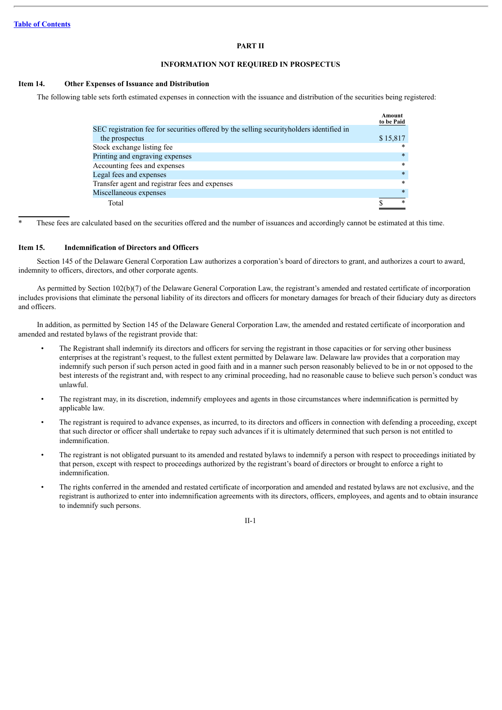#### **PART II**

#### **INFORMATION NOT REQUIRED IN PROSPECTUS**

#### **Item 14. Other Expenses of Issuance and Distribution**

The following table sets forth estimated expenses in connection with the issuance and distribution of the securities being registered:

|                                                                                           | Amount<br>to be Paid |        |
|-------------------------------------------------------------------------------------------|----------------------|--------|
| SEC registration fee for securities offered by the selling security holders identified in |                      |        |
| the prospectus                                                                            | \$15,817             |        |
| Stock exchange listing fee                                                                |                      | ∗      |
| Printing and engraving expenses                                                           |                      | $\ast$ |
| Accounting fees and expenses                                                              |                      | $\ast$ |
| Legal fees and expenses                                                                   |                      | $\ast$ |
| Transfer agent and registrar fees and expenses                                            |                      | $\ast$ |
| Miscellaneous expenses                                                                    |                      | $\ast$ |
| Total                                                                                     |                      | $\ast$ |

These fees are calculated based on the securities offered and the number of issuances and accordingly cannot be estimated at this time.

#### **Item 15. Indemnification of Directors and Officers**

Section 145 of the Delaware General Corporation Law authorizes a corporation's board of directors to grant, and authorizes a court to award, indemnity to officers, directors, and other corporate agents.

As permitted by Section 102(b)(7) of the Delaware General Corporation Law, the registrant's amended and restated certificate of incorporation includes provisions that eliminate the personal liability of its directors and officers for monetary damages for breach of their fiduciary duty as directors and officers.

In addition, as permitted by Section 145 of the Delaware General Corporation Law, the amended and restated certificate of incorporation and amended and restated bylaws of the registrant provide that:

- The Registrant shall indemnify its directors and officers for serving the registrant in those capacities or for serving other business enterprises at the registrant's request, to the fullest extent permitted by Delaware law. Delaware law provides that a corporation may indemnify such person if such person acted in good faith and in a manner such person reasonably believed to be in or not opposed to the best interests of the registrant and, with respect to any criminal proceeding, had no reasonable cause to believe such person's conduct was unlawful.
- The registrant may, in its discretion, indemnify employees and agents in those circumstances where indemnification is permitted by applicable law.
- The registrant is required to advance expenses, as incurred, to its directors and officers in connection with defending a proceeding, except that such director or officer shall undertake to repay such advances if it is ultimately determined that such person is not entitled to indemnification.
- The registrant is not obligated pursuant to its amended and restated bylaws to indemnify a person with respect to proceedings initiated by that person, except with respect to proceedings authorized by the registrant's board of directors or brought to enforce a right to indemnification.
- The rights conferred in the amended and restated certificate of incorporation and amended and restated bylaws are not exclusive, and the registrant is authorized to enter into indemnification agreements with its directors, officers, employees, and agents and to obtain insurance to indemnify such persons.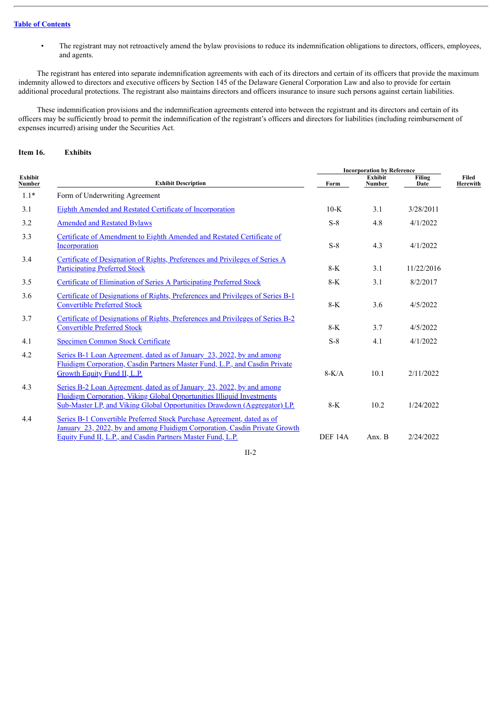• The registrant may not retroactively amend the bylaw provisions to reduce its indemnification obligations to directors, officers, employees, and agents.

The registrant has entered into separate indemnification agreements with each of its directors and certain of its officers that provide the maximum indemnity allowed to directors and executive officers by Section 145 of the Delaware General Corporation Law and also to provide for certain additional procedural protections. The registrant also maintains directors and officers insurance to insure such persons against certain liabilities.

These indemnification provisions and the indemnification agreements entered into between the registrant and its directors and certain of its officers may be sufficiently broad to permit the indemnification of the registrant's officers and directors for liabilities (including reimbursement of expenses incurred) arising under the Securities Act.

#### **Item 16. Exhibits**

|                          |                                                                                                                                                                                                                                    | <b>Incorporation by Reference</b> |                          |                |                          |
|--------------------------|------------------------------------------------------------------------------------------------------------------------------------------------------------------------------------------------------------------------------------|-----------------------------------|--------------------------|----------------|--------------------------|
| <b>Exhibit</b><br>Number | <b>Exhibit Description</b>                                                                                                                                                                                                         | Form                              | <b>Exhibit</b><br>Number | Filing<br>Date | <b>Filed</b><br>Herewith |
| $1.1*$                   | Form of Underwriting Agreement                                                                                                                                                                                                     |                                   |                          |                |                          |
| 3.1                      | <b>Eighth Amended and Restated Certificate of Incorporation</b>                                                                                                                                                                    | $10-K$                            | 3.1                      | 3/28/2011      |                          |
| 3.2                      | <b>Amended and Restated Bylaws</b>                                                                                                                                                                                                 | $S-8$                             | 4.8                      | 4/1/2022       |                          |
| 3.3                      | Certificate of Amendment to Eighth Amended and Restated Certificate of<br>Incorporation                                                                                                                                            | $S-8$                             | 4.3                      | 4/1/2022       |                          |
| 3.4                      | Certificate of Designation of Rights, Preferences and Privileges of Series A<br><b>Participating Preferred Stock</b>                                                                                                               | $8-K$                             | 3.1                      | 11/22/2016     |                          |
| 3.5                      | Certificate of Elimination of Series A Participating Preferred Stock                                                                                                                                                               | $8-K$                             | 3.1                      | 8/2/2017       |                          |
| 3.6                      | Certificate of Designations of Rights, Preferences and Privileges of Series B-1<br><b>Convertible Preferred Stock</b>                                                                                                              | $8-K$                             | 3.6                      | 4/5/2022       |                          |
| 3.7                      | Certificate of Designations of Rights, Preferences and Privileges of Series B-2<br><b>Convertible Preferred Stock</b>                                                                                                              | $8-K$                             | 3.7                      | 4/5/2022       |                          |
| 4.1                      | <b>Specimen Common Stock Certificate</b>                                                                                                                                                                                           | $S-8$                             | 4.1                      | 4/1/2022       |                          |
| 4.2                      | Series B-1 Loan Agreement, dated as of January 23, 2022, by and among<br>Fluidigm Corporation, Casdin Partners Master Fund, L.P., and Casdin Private<br>Growth Equity Fund II, L.P.                                                | $8-K/A$                           | 10.1                     | 2/11/2022      |                          |
| 4.3                      | Series B-2 Loan Agreement, dated as of January 23, 2022, by and among<br><b>Fluidigm Corporation, Viking Global Opportunities Illiquid Investments</b><br>Sub-Master LP, and Viking Global Opportunities Drawdown (Aggregator) LP. | $8-K$                             | 10.2                     | 1/24/2022      |                          |
| 4.4                      | Series B-1 Convertible Preferred Stock Purchase Agreement, dated as of<br>January 23, 2022, by and among Fluidigm Corporation, Casdin Private Growth<br>Equity Fund II, L.P., and Casdin Partners Master Fund, L.P.                | DEF <sub>14A</sub>                | Anx. $B$                 | 2/24/2022      |                          |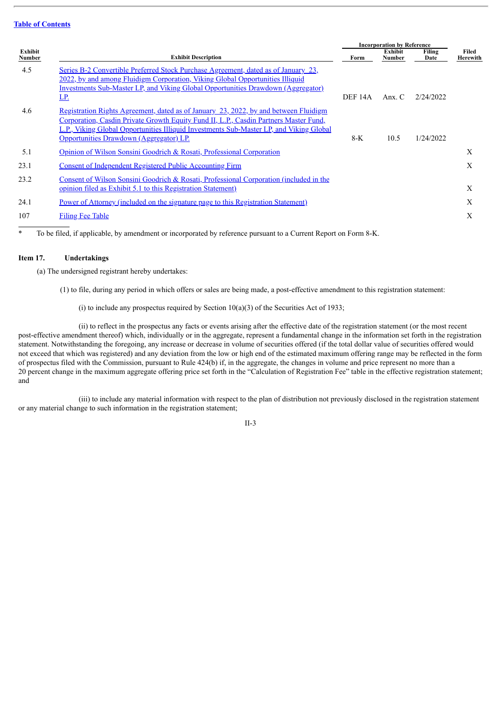|                   |                                                                                                                                                                                                                                                                                                                     | <b>Incorporation by Reference</b> |                          |                |                   |
|-------------------|---------------------------------------------------------------------------------------------------------------------------------------------------------------------------------------------------------------------------------------------------------------------------------------------------------------------|-----------------------------------|--------------------------|----------------|-------------------|
| Exhibit<br>Number | <b>Exhibit Description</b>                                                                                                                                                                                                                                                                                          | Form                              | <b>Exhibit</b><br>Number | Filing<br>Date | Filed<br>Herewith |
| 4.5               | Series B-2 Convertible Preferred Stock Purchase Agreement, dated as of January 23,<br>2022, by and among Fluidigm Corporation, Viking Global Opportunities Illiquid<br><b>Investments Sub-Master LP, and Viking Global Opportunities Drawdown (Aggregator)</b><br>LP.                                               | DEF <sub>14</sub> A               | Anx. $C$                 | 2/24/2022      |                   |
| 4.6               | Registration Rights Agreement, dated as of January 23, 2022, by and between Fluidigm<br>Corporation, Casdin Private Growth Equity Fund II, L.P., Casdin Partners Master Fund,<br>L.P., Viking Global Opportunities Illiquid Investments Sub-Master LP, and Viking Global<br>Opportunities Drawdown (Aggregator) LP. | $8-K$                             | 10.5                     | 1/24/2022      |                   |
| 5.1               | Opinion of Wilson Sonsini Goodrich & Rosati, Professional Corporation                                                                                                                                                                                                                                               |                                   |                          |                | X                 |
| 23.1              | <b>Consent of Independent Registered Public Accounting Firm</b>                                                                                                                                                                                                                                                     |                                   |                          |                | X                 |
| 23.2              | Consent of Wilson Sonsini Goodrich & Rosati, Professional Corporation (included in the<br>opinion filed as Exhibit 5.1 to this Registration Statement)                                                                                                                                                              |                                   |                          |                | X                 |
| 24.1              | Power of Attorney (included on the signature page to this Registration Statement)                                                                                                                                                                                                                                   |                                   |                          |                | Х                 |
| 107               | <b>Filing Fee Table</b>                                                                                                                                                                                                                                                                                             |                                   |                          |                | X                 |
|                   |                                                                                                                                                                                                                                                                                                                     |                                   |                          |                |                   |

To be filed, if applicable, by amendment or incorporated by reference pursuant to a Current Report on Form 8-K.

#### **Item 17. Undertakings**

(a) The undersigned registrant hereby undertakes:

(1) to file, during any period in which offers or sales are being made, a post-effective amendment to this registration statement:

(i) to include any prospectus required by Section  $10(a)(3)$  of the Securities Act of 1933;

(ii) to reflect in the prospectus any facts or events arising after the effective date of the registration statement (or the most recent post-effective amendment thereof) which, individually or in the aggregate, represent a fundamental change in the information set forth in the registration statement. Notwithstanding the foregoing, any increase or decrease in volume of securities offered (if the total dollar value of securities offered would not exceed that which was registered) and any deviation from the low or high end of the estimated maximum offering range may be reflected in the form of prospectus filed with the Commission, pursuant to Rule 424(b) if, in the aggregate, the changes in volume and price represent no more than a 20 percent change in the maximum aggregate offering price set forth in the "Calculation of Registration Fee" table in the effective registration statement; and

(iii) to include any material information with respect to the plan of distribution not previously disclosed in the registration statement or any material change to such information in the registration statement;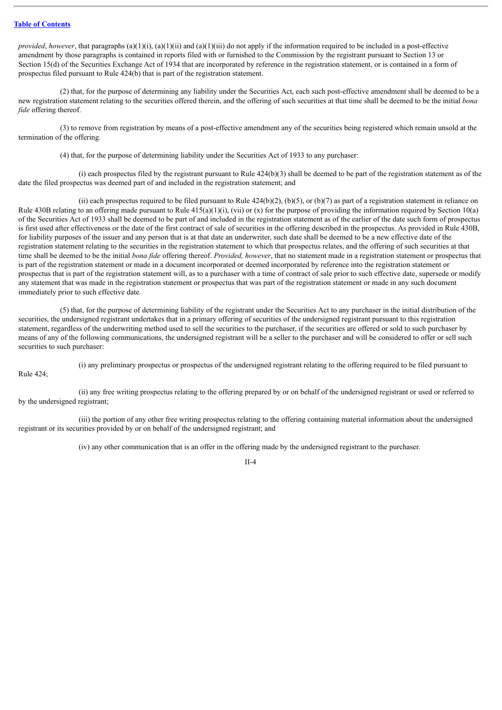*provided*, *however*, that paragraphs (a)(1)(i), (a)(1)(ii) and (a)(1)(iii) do not apply if the information required to be included in a post-effective amendment by those paragraphs is contained in reports filed with or furnished to the Commission by the registrant pursuant to Section 13 or Section 15(d) of the Securities Exchange Act of 1934 that are incorporated by reference in the registration statement, or is contained in a form of prospectus filed pursuant to Rule 424(b) that is part of the registration statement.

(2) that, for the purpose of determining any liability under the Securities Act, each such post-effective amendment shall be deemed to be a new registration statement relating to the securities offered therein, and the offering of such securities at that time shall be deemed to be the initial *bona fide* offering thereof.

(3) to remove from registration by means of a post-effective amendment any of the securities being registered which remain unsold at the termination of the offering.

(4) that, for the purpose of determining liability under the Securities Act of 1933 to any purchaser:

(i) each prospectus filed by the registrant pursuant to Rule  $424(b)(3)$  shall be deemed to be part of the registration statement as of the date the filed prospectus was deemed part of and included in the registration statement; and

(ii) each prospectus required to be filed pursuant to Rule  $424(b)(2)$ ,  $(b)(5)$ , or  $(b)(7)$  as part of a registration statement in reliance on Rule 430B relating to an offering made pursuant to Rule  $415(a)(1)(i)$ , (vii) or (x) for the purpose of providing the information required by Section 10(a) of the Securities Act of 1933 shall be deemed to be part of and included in the registration statement as of the earlier of the date such form of prospectus is first used after effectiveness or the date of the first contract of sale of securities in the offering described in the prospectus. As provided in Rule 430B, for liability purposes of the issuer and any person that is at that date an underwriter, such date shall be deemed to be a new effective date of the registration statement relating to the securities in the registration statement to which that prospectus relates, and the offering of such securities at that time shall be deemed to be the initial *bona fide* offering thereof. *Provided, however*, that no statement made in a registration statement or prospectus that is part of the registration statement or made in a document incorporated or deemed incorporated by reference into the registration statement or prospectus that is part of the registration statement will, as to a purchaser with a time of contract of sale prior to such effective date, supersede or modify any statement that was made in the registration statement or prospectus that was part of the registration statement or made in any such document immediately prior to such effective date.

(5) that, for the purpose of determining liability of the registrant under the Securities Act to any purchaser in the initial distribution of the securities, the undersigned registrant undertakes that in a primary offering of securities of the undersigned registrant pursuant to this registration statement, regardless of the underwriting method used to sell the securities to the purchaser, if the securities are offered or sold to such purchaser by means of any of the following communications, the undersigned registrant will be a seller to the purchaser and will be considered to offer or sell such securities to such purchaser:

(i) any preliminary prospectus or prospectus of the undersigned registrant relating to the offering required to be filed pursuant to

Rule 424;

(ii) any free writing prospectus relating to the offering prepared by or on behalf of the undersigned registrant or used or referred to

by the undersigned registrant;

(iii) the portion of any other free writing prospectus relating to the offering containing material information about the undersigned registrant or its securities provided by or on behalf of the undersigned registrant; and

(iv) any other communication that is an offer in the offering made by the undersigned registrant to the purchaser.

#### $II - 4$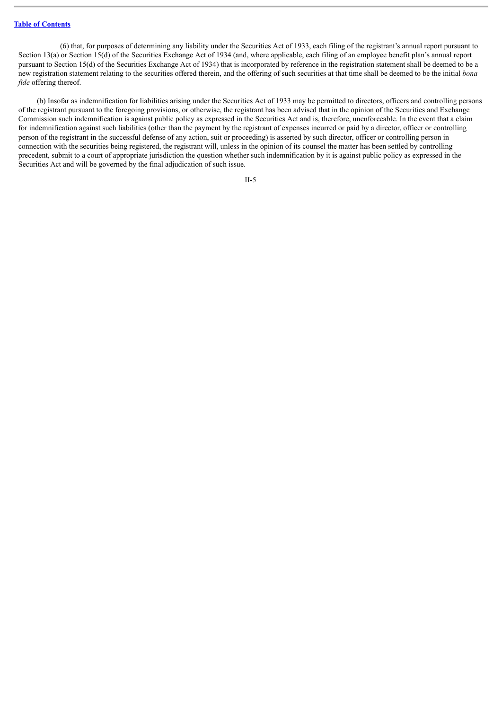(6) that, for purposes of determining any liability under the Securities Act of 1933, each filing of the registrant's annual report pursuant to Section 13(a) or Section 15(d) of the Securities Exchange Act of 1934 (and, where applicable, each filing of an employee benefit plan's annual report pursuant to Section 15(d) of the Securities Exchange Act of 1934) that is incorporated by reference in the registration statement shall be deemed to be a new registration statement relating to the securities offered therein, and the offering of such securities at that time shall be deemed to be the initial *bona fide* offering thereof.

(b) Insofar as indemnification for liabilities arising under the Securities Act of 1933 may be permitted to directors, officers and controlling persons of the registrant pursuant to the foregoing provisions, or otherwise, the registrant has been advised that in the opinion of the Securities and Exchange Commission such indemnification is against public policy as expressed in the Securities Act and is, therefore, unenforceable. In the event that a claim for indemnification against such liabilities (other than the payment by the registrant of expenses incurred or paid by a director, officer or controlling person of the registrant in the successful defense of any action, suit or proceeding) is asserted by such director, officer or controlling person in connection with the securities being registered, the registrant will, unless in the opinion of its counsel the matter has been settled by controlling precedent, submit to a court of appropriate jurisdiction the question whether such indemnification by it is against public policy as expressed in the Securities Act and will be governed by the final adjudication of such issue.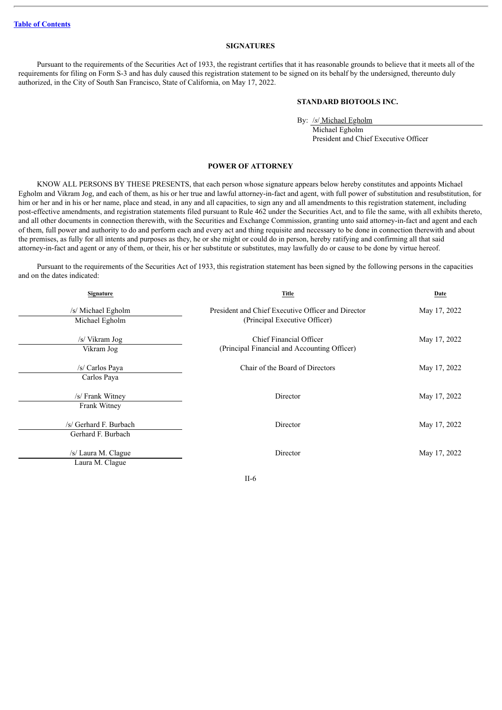#### **SIGNATURES**

<span id="page-31-0"></span>Pursuant to the requirements of the Securities Act of 1933, the registrant certifies that it has reasonable grounds to believe that it meets all of the requirements for filing on Form S-3 and has duly caused this registration statement to be signed on its behalf by the undersigned, thereunto duly authorized, in the City of South San Francisco, State of California, on May 17, 2022.

#### **STANDARD BIOTOOLS INC.**

By: /*s*/ Michael Egholm

Michael Egholm President and Chief Executive Officer

#### **POWER OF ATTORNEY**

KNOW ALL PERSONS BY THESE PRESENTS, that each person whose signature appears below hereby constitutes and appoints Michael Egholm and Vikram Jog, and each of them, as his or her true and lawful attorney-in-fact and agent, with full power of substitution and resubstitution, for him or her and in his or her name, place and stead, in any and all capacities, to sign any and all amendments to this registration statement, including post-effective amendments, and registration statements filed pursuant to Rule 462 under the Securities Act, and to file the same, with all exhibits thereto, and all other documents in connection therewith, with the Securities and Exchange Commission, granting unto said attorney-in-fact and agent and each of them, full power and authority to do and perform each and every act and thing requisite and necessary to be done in connection therewith and about the premises, as fully for all intents and purposes as they, he or she might or could do in person, hereby ratifying and confirming all that said attorney-in-fact and agent or any of them, or their, his or her substitute or substitutes, may lawfully do or cause to be done by virtue hereof.

Pursuant to the requirements of the Securities Act of 1933, this registration statement has been signed by the following persons in the capacities and on the dates indicated:

| Signature                                    | <b>Title</b>                                                                        | Date         |
|----------------------------------------------|-------------------------------------------------------------------------------------|--------------|
| /s/ Michael Egholm<br>Michael Egholm         | President and Chief Executive Officer and Director<br>(Principal Executive Officer) | May 17, 2022 |
| /s/ Vikram Jog<br>Vikram Jog                 | Chief Financial Officer<br>(Principal Financial and Accounting Officer)             | May 17, 2022 |
| /s/ Carlos Paya<br>Carlos Paya               | Chair of the Board of Directors                                                     | May 17, 2022 |
| /s/ Frank Witney<br>Frank Witney             | Director                                                                            | May 17, 2022 |
| /s/ Gerhard F. Burbach<br>Gerhard F. Burbach | Director                                                                            | May 17, 2022 |
| /s/ Laura M. Clague<br>Laura M. Clague       | Director                                                                            | May 17, 2022 |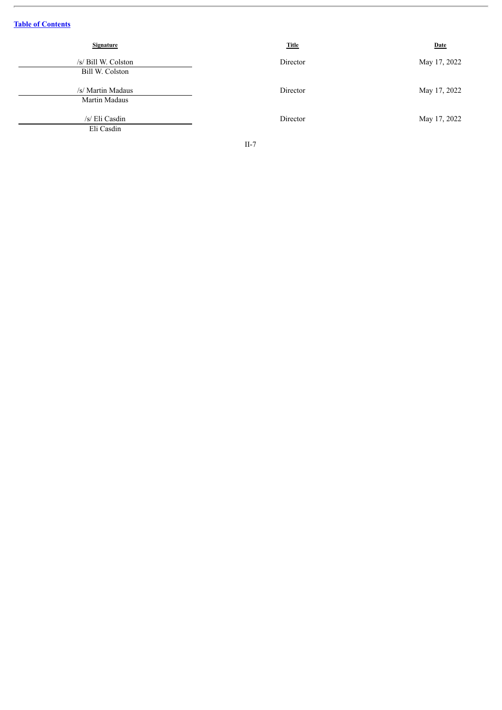$\overline{a}$ 

| Signature                              | <b>Title</b> | Date         |
|----------------------------------------|--------------|--------------|
| /s/ Bill W. Colston<br>Bill W. Colston | Director     | May 17, 2022 |
| /s/ Martin Madaus<br>Martin Madaus     | Director     | May 17, 2022 |
| /s/ Eli Casdin<br>Eli Casdin           | Director     | May 17, 2022 |
|                                        | $II-7$       |              |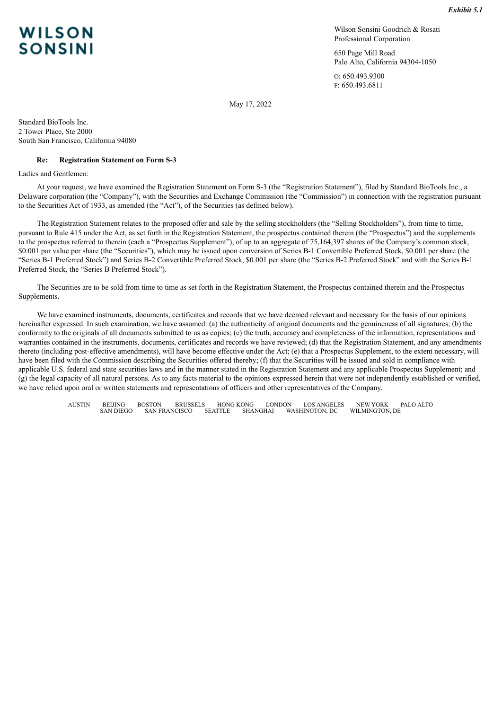Wilson Sonsini Goodrich & Rosati Professional Corporation

650 Page Mill Road Palo Alto, California 94304-1050

O: 650.493.9300 F: 650.493.6811

May 17, 2022

Standard BioTools Inc. 2 Tower Place, Ste 2000 South San Francisco, California 94080

#### **Re: Registration Statement on Form S-3**

Ladies and Gentlemen:

<span id="page-33-0"></span>**WILSON SONSINI** 

At your request, we have examined the Registration Statement on Form S-3 (the "Registration Statement"), filed by Standard BioTools Inc., a Delaware corporation (the "Company"), with the Securities and Exchange Commission (the "Commission") in connection with the registration pursuant to the Securities Act of 1933, as amended (the "Act"), of the Securities (as defined below).

The Registration Statement relates to the proposed offer and sale by the selling stockholders (the "Selling Stockholders"), from time to time, pursuant to Rule 415 under the Act, as set forth in the Registration Statement, the prospectus contained therein (the "Prospectus") and the supplements to the prospectus referred to therein (each a "Prospectus Supplement"), of up to an aggregate of 75,164,397 shares of the Company's common stock, \$0.001 par value per share (the "Securities"), which may be issued upon conversion of Series B-1 Convertible Preferred Stock, \$0.001 per share (the "Series B-1 Preferred Stock") and Series B-2 Convertible Preferred Stock, \$0.001 per share (the "Series B-2 Preferred Stock" and with the Series B-1 Preferred Stock, the "Series B Preferred Stock").

The Securities are to be sold from time to time as set forth in the Registration Statement, the Prospectus contained therein and the Prospectus Supplements.

We have examined instruments, documents, certificates and records that we have deemed relevant and necessary for the basis of our opinions hereinafter expressed. In such examination, we have assumed: (a) the authenticity of original documents and the genuineness of all signatures; (b) the conformity to the originals of all documents submitted to us as copies; (c) the truth, accuracy and completeness of the information, representations and warranties contained in the instruments, documents, certificates and records we have reviewed; (d) that the Registration Statement, and any amendments thereto (including post-effective amendments), will have become effective under the Act; (e) that a Prospectus Supplement, to the extent necessary, will have been filed with the Commission describing the Securities offered thereby; (f) that the Securities will be issued and sold in compliance with applicable U.S. federal and state securities laws and in the manner stated in the Registration Statement and any applicable Prospectus Supplement; and (g) the legal capacity of all natural persons. As to any facts material to the opinions expressed herein that were not independently established or verified, we have relied upon oral or written statements and representations of officers and other representatives of the Company.

> AUSTIN BEIJING BOSTON BRUSSELS HONG KONG LONDON LOS ANGELES NEW YORK PALO ALTO WASHINGTON, DC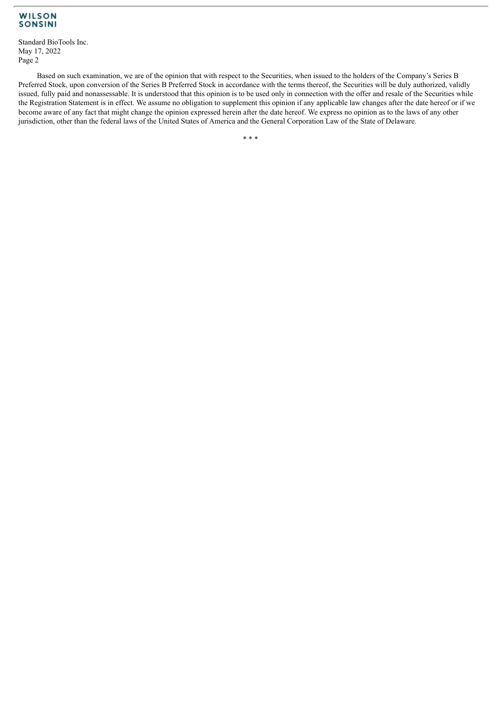#### **WILSON SONSINI**

Standard BioTools Inc. May 17, 2022 Page 2

Based on such examination, we are of the opinion that with respect to the Securities, when issued to the holders of the Company's Series B Preferred Stock, upon conversion of the Series B Preferred Stock in accordance with the terms thereof, the Securities will be duly authorized, validly issued, fully paid and nonassessable. It is understood that this opinion is to be used only in connection with the offer and resale of the Securities while the Registration Statement is in effect. We assume no obligation to supplement this opinion if any applicable law changes after the date hereof or if we become aware of any fact that might change the opinion expressed herein after the date hereof. We express no opinion as to the laws of any other jurisdiction, other than the federal laws of the United States of America and the General Corporation Law of the State of Delaware.

\* \* \*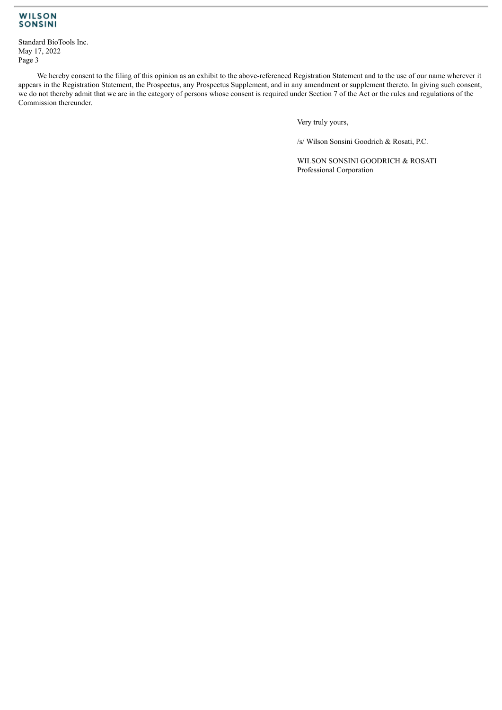#### **WILSON SONSINI**

Standard BioTools Inc. May 17, 2022 Page 3

We hereby consent to the filing of this opinion as an exhibit to the above-referenced Registration Statement and to the use of our name wherever it appears in the Registration Statement, the Prospectus, any Prospectus Supplement, and in any amendment or supplement thereto. In giving such consent, we do not thereby admit that we are in the category of persons whose consent is required under Section 7 of the Act or the rules and regulations of the Commission thereunder.

Very truly yours,

/s/ Wilson Sonsini Goodrich & Rosati, P.C.

WILSON SONSINI GOODRICH & ROSATI Professional Corporation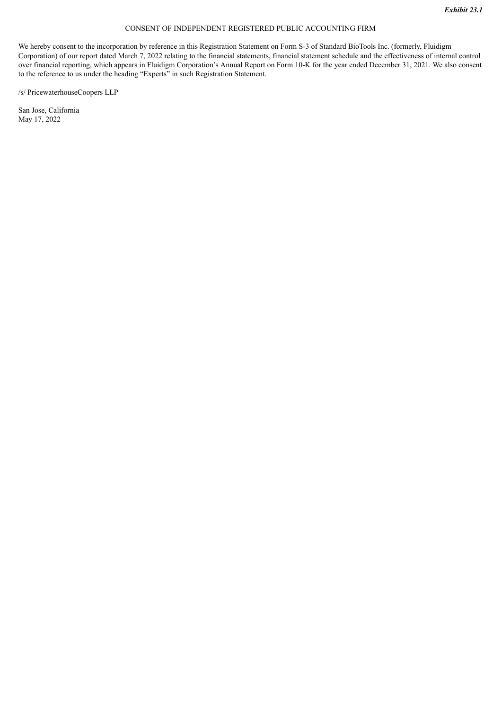#### CONSENT OF INDEPENDENT REGISTERED PUBLIC ACCOUNTING FIRM

<span id="page-36-0"></span>We hereby consent to the incorporation by reference in this Registration Statement on Form S-3 of Standard BioTools Inc. (formerly, Fluidigm Corporation) of our report dated March 7, 2022 relating to the financial statements, financial statement schedule and the effectiveness of internal control over financial reporting, which appears in Fluidigm Corporation's Annual Report on Form 10-K for the year ended December 31, 2021. We also consent to the reference to us under the heading "Experts" in such Registration Statement.

/s/ PricewaterhouseCoopers LLP

San Jose, California May 17, 2022